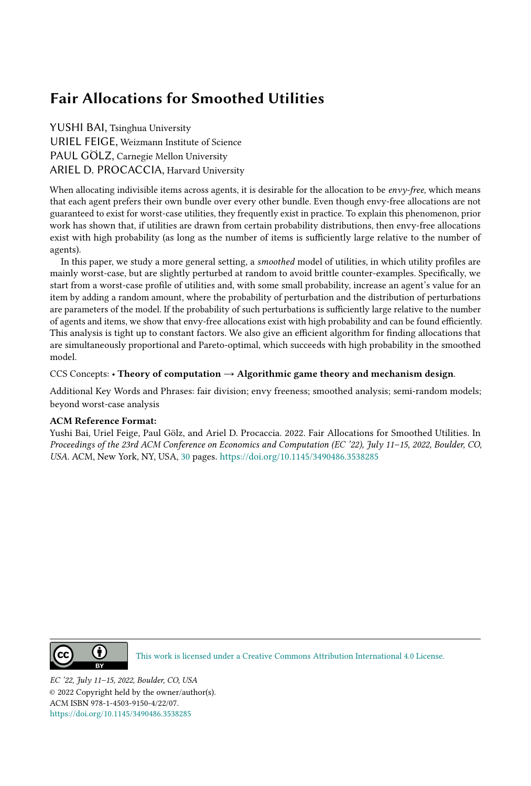### Fair Allocations for Smoothed Utilities

YUSHI BAI, Tsinghua University URIEL FEIGE, Weizmann Institute of Science PAUL GÖLZ, Carnegie Mellon University ARIEL D. PROCACCIA, Harvard University

When allocating indivisible items across agents, it is desirable for the allocation to be envy-free, which means that each agent prefers their own bundle over every other bundle. Even though envy-free allocations are not guaranteed to exist for worst-case utilities, they frequently exist in practice. To explain this phenomenon, prior work has shown that, if utilities are drawn from certain probability distributions, then envy-free allocations exist with high probability (as long as the number of items is sufficiently large relative to the number of agents).

In this paper, we study a more general setting, a *smoothed* model of utilities, in which utility profiles are mainly worst-case, but are slightly perturbed at random to avoid brittle counter-examples. Specifically, we start from a worst-case profile of utilities and, with some small probability, increase an agent's value for an item by adding a random amount, where the probability of perturbation and the distribution of perturbations are parameters of the model. If the probability of such perturbations is sufficiently large relative to the number of agents and items, we show that envy-free allocations exist with high probability and can be found efficiently. This analysis is tight up to constant factors. We also give an efficient algorithm for finding allocations that are simultaneously proportional and Pareto-optimal, which succeeds with high probability in the smoothed model.

#### CCS Concepts: • Theory of computation  $\rightarrow$  Algorithmic game theory and mechanism design.

Additional Key Words and Phrases: fair division; envy freeness; smoothed analysis; semi-random models; beyond worst-case analysis

#### ACM Reference Format:

Yushi Bai, Uriel Feige, Paul Gölz, and Ariel D. Procaccia. 2022. Fair Allocations for Smoothed Utilities. In Proceedings of the 23rd ACM Conference on Economics and Computation (EC '22), July 11–15, 2022, Boulder, CO, USA. ACM, New York, NY, USA, [30](#page-29-0) pages. <https://doi.org/10.1145/3490486.3538285>



[This work is licensed under a Creative Commons Attribution International 4.0 License.](http://creativecommons.org/licenses/by/4.0/)

EC '22, July 11–15, 2022, Boulder, CO, USA © 2022 Copyright held by the owner/author(s). ACM ISBN 978-1-4503-9150-4/22/07. <https://doi.org/10.1145/3490486.3538285>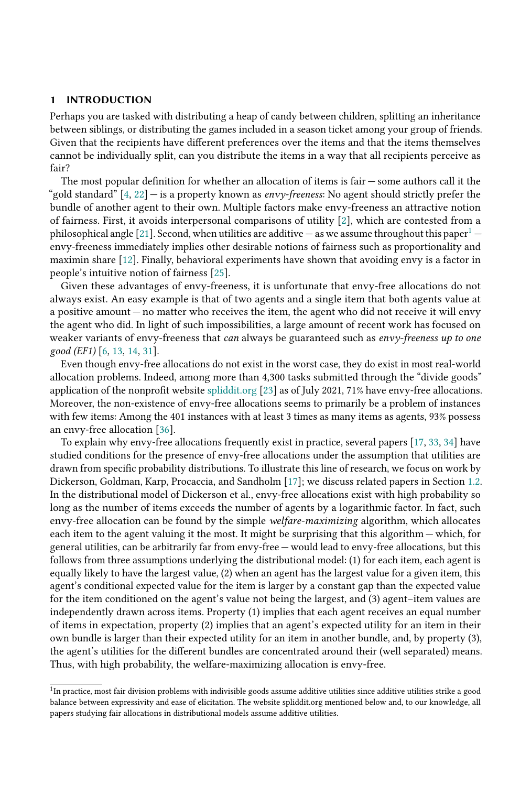#### 1 INTRODUCTION

Perhaps you are tasked with distributing a heap of candy between children, splitting an inheritance between siblings, or distributing the games included in a season ticket among your group of friends. Given that the recipients have different preferences over the items and that the items themselves cannot be individually split, can you distribute the items in a way that all recipients perceive as fair?

The most popular definition for whether an allocation of items is fair — some authors call it the "gold standard"  $[4, 22]$  $[4, 22]$  $[4, 22]$  — is a property known as *envy-freeness*: No agent should strictly prefer the bundle of another agent to their own. Multiple factors make envy-freeness an attractive notion of fairness. First, it avoids interpersonal comparisons of utility [\[2\]](#page-17-2), which are contested from a philosophical angle [\[21\]](#page-17-3). Second, when utilities are additive — as we assume throughout this paper<sup>[1](#page-1-0)</sup> envy-freeness immediately implies other desirable notions of fairness such as proportionality and maximin share [\[12\]](#page-17-4). Finally, behavioral experiments have shown that avoiding envy is a factor in people's intuitive notion of fairness [\[25\]](#page-17-5).

Given these advantages of envy-freeness, it is unfortunate that envy-free allocations do not always exist. An easy example is that of two agents and a single item that both agents value at a positive amount — no matter who receives the item, the agent who did not receive it will envy the agent who did. In light of such impossibilities, a large amount of recent work has focused on weaker variants of envy-freeness that can always be guaranteed such as envy-freeness up to one good (EF1) [\[6,](#page-17-6) [13,](#page-17-7) [14,](#page-17-8) [31\]](#page-18-0).

Even though envy-free allocations do not exist in the worst case, they do exist in most real-world allocation problems. Indeed, among more than 4,300 tasks submitted through the "divide goods" application of the nonprofit website [spliddit.org](http://www.spliddit.org/) [\[23\]](#page-17-9) as of July 2021, 71% have envy-free allocations. Moreover, the non-existence of envy-free allocations seems to primarily be a problem of instances with few items: Among the 401 instances with at least 3 times as many items as agents, 93% possess an envy-free allocation [\[36\]](#page-18-1).

To explain why envy-free allocations frequently exist in practice, several papers [\[17,](#page-17-10) [33,](#page-18-2) [34\]](#page-18-3) have studied conditions for the presence of envy-free allocations under the assumption that utilities are drawn from specific probability distributions. To illustrate this line of research, we focus on work by Dickerson, Goldman, Karp, Procaccia, and Sandholm [\[17\]](#page-17-10); we discuss related papers in Section [1.2.](#page-3-0) In the distributional model of Dickerson et al., envy-free allocations exist with high probability so long as the number of items exceeds the number of agents by a logarithmic factor. In fact, such envy-free allocation can be found by the simple welfare-maximizing algorithm, which allocates each item to the agent valuing it the most. It might be surprising that this algorithm — which, for general utilities, can be arbitrarily far from envy-free — would lead to envy-free allocations, but this follows from three assumptions underlying the distributional model: (1) for each item, each agent is equally likely to have the largest value, (2) when an agent has the largest value for a given item, this agent's conditional expected value for the item is larger by a constant gap than the expected value for the item conditioned on the agent's value not being the largest, and (3) agent–item values are independently drawn across items. Property (1) implies that each agent receives an equal number of items in expectation, property (2) implies that an agent's expected utility for an item in their own bundle is larger than their expected utility for an item in another bundle, and, by property (3), the agent's utilities for the different bundles are concentrated around their (well separated) means. Thus, with high probability, the welfare-maximizing allocation is envy-free.

<span id="page-1-0"></span> $1$ In practice, most fair division problems with indivisible goods assume additive utilities since additive utilities strike a good balance between expressivity and ease of elicitation. The website spliddit.org mentioned below and, to our knowledge, all papers studying fair allocations in distributional models assume additive utilities.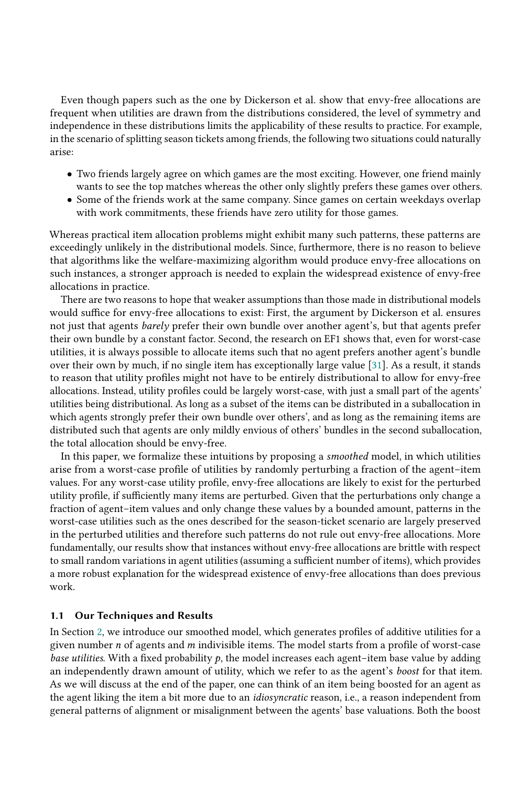Even though papers such as the one by Dickerson et al. show that envy-free allocations are frequent when utilities are drawn from the distributions considered, the level of symmetry and independence in these distributions limits the applicability of these results to practice. For example, in the scenario of splitting season tickets among friends, the following two situations could naturally arise:

- Two friends largely agree on which games are the most exciting. However, one friend mainly wants to see the top matches whereas the other only slightly prefers these games over others.
- Some of the friends work at the same company. Since games on certain weekdays overlap with work commitments, these friends have zero utility for those games.

Whereas practical item allocation problems might exhibit many such patterns, these patterns are exceedingly unlikely in the distributional models. Since, furthermore, there is no reason to believe that algorithms like the welfare-maximizing algorithm would produce envy-free allocations on such instances, a stronger approach is needed to explain the widespread existence of envy-free allocations in practice.

There are two reasons to hope that weaker assumptions than those made in distributional models would suffice for envy-free allocations to exist: First, the argument by Dickerson et al. ensures not just that agents barely prefer their own bundle over another agent's, but that agents prefer their own bundle by a constant factor. Second, the research on EF1 shows that, even for worst-case utilities, it is always possible to allocate items such that no agent prefers another agent's bundle over their own by much, if no single item has exceptionally large value [\[31\]](#page-18-0). As a result, it stands to reason that utility profiles might not have to be entirely distributional to allow for envy-free allocations. Instead, utility profiles could be largely worst-case, with just a small part of the agents' utilities being distributional. As long as a subset of the items can be distributed in a suballocation in which agents strongly prefer their own bundle over others', and as long as the remaining items are distributed such that agents are only mildly envious of others' bundles in the second suballocation, the total allocation should be envy-free.

In this paper, we formalize these intuitions by proposing a smoothed model, in which utilities arise from a worst-case profile of utilities by randomly perturbing a fraction of the agent–item values. For any worst-case utility profile, envy-free allocations are likely to exist for the perturbed utility profile, if sufficiently many items are perturbed. Given that the perturbations only change a fraction of agent–item values and only change these values by a bounded amount, patterns in the worst-case utilities such as the ones described for the season-ticket scenario are largely preserved in the perturbed utilities and therefore such patterns do not rule out envy-free allocations. More fundamentally, our results show that instances without envy-free allocations are brittle with respect to small random variations in agent utilities (assuming a sufficient number of items), which provides a more robust explanation for the widespread existence of envy-free allocations than does previous work.

#### <span id="page-2-0"></span>1.1 Our Techniques and Results

In Section [2,](#page-4-0) we introduce our smoothed model, which generates profiles of additive utilities for a given number  $n$  of agents and  $m$  indivisible items. The model starts from a profile of worst-case base utilities. With a fixed probability  $p$ , the model increases each agent–item base value by adding an independently drawn amount of utility, which we refer to as the agent's boost for that item. As we will discuss at the end of the paper, one can think of an item being boosted for an agent as the agent liking the item a bit more due to an *idiosyncratic* reason, i.e., a reason independent from general patterns of alignment or misalignment between the agents' base valuations. Both the boost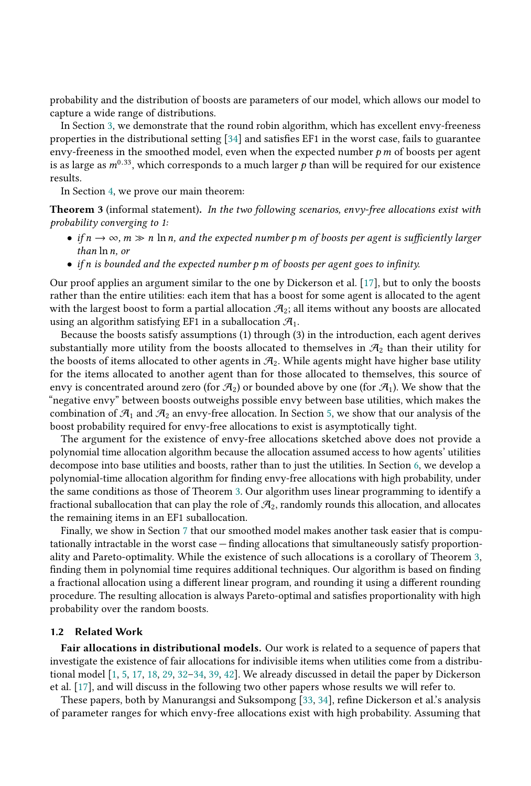probability and the distribution of boosts are parameters of our model, which allows our model to capture a wide range of distributions.

In Section [3,](#page-5-0) we demonstrate that the round robin algorithm, which has excellent envy-freeness properties in the distributional setting [\[34\]](#page-18-3) and satisfies EF1 in the worst case, fails to guarantee envy-freeness in the smoothed model, even when the expected number  $p \, m$  of boosts per agent is as large as  $m^{0.33}$ , which corresponds to a much larger p than will be required for our existence results.

In Section [4,](#page-7-0) we prove our main theorem:

<span id="page-3-1"></span>**Theorem 3** (informal statement). In the two following scenarios, envy-free allocations exist with probability converging to 1:

- if  $n \to \infty$ ,  $m \gg n \ln n$ , and the expected number p m of boosts per agent is sufficiently larger than  $\ln n$ , or
- if n is bounded and the expected number  $p$  m of boosts per agent goes to infinity.

Our proof applies an argument similar to the one by Dickerson et al. [\[17\]](#page-17-10), but to only the boosts rather than the entire utilities: each item that has a boost for some agent is allocated to the agent with the largest boost to form a partial allocation  $\mathcal{A}_2$ ; all items without any boosts are allocated using an algorithm satisfying EF1 in a suballocation  $\mathcal{A}_1$ .

Because the boosts satisfy assumptions (1) through (3) in the introduction, each agent derives substantially more utility from the boosts allocated to themselves in  $\mathcal{A}_2$  than their utility for the boosts of items allocated to other agents in  $\mathcal{A}_2$ . While agents might have higher base utility for the items allocated to another agent than for those allocated to themselves, this source of envy is concentrated around zero (for  $\mathcal{A}_2$ ) or bounded above by one (for  $\mathcal{A}_1$ ). We show that the "negative envy" between boosts outweighs possible envy between base utilities, which makes the combination of  $\mathcal{A}_1$  and  $\mathcal{A}_2$  an envy-free allocation. In Section [5,](#page-11-0) we show that our analysis of the boost probability required for envy-free allocations to exist is asymptotically tight.

The argument for the existence of envy-free allocations sketched above does not provide a polynomial time allocation algorithm because the allocation assumed access to how agents' utilities decompose into base utilities and boosts, rather than to just the utilities. In Section [6,](#page-12-0) we develop a polynomial-time allocation algorithm for finding envy-free allocations with high probability, under the same conditions as those of Theorem [3.](#page-3-1) Our algorithm uses linear programming to identify a fractional suballocation that can play the role of  $\mathcal{A}_2$ , randomly rounds this allocation, and allocates the remaining items in an EF1 suballocation.

Finally, we show in Section [7](#page-14-0) that our smoothed model makes another task easier that is computationally intractable in the worst case — finding allocations that simultaneously satisfy proportionality and Pareto-optimality. While the existence of such allocations is a corollary of Theorem [3,](#page-3-1) finding them in polynomial time requires additional techniques. Our algorithm is based on finding a fractional allocation using a different linear program, and rounding it using a different rounding procedure. The resulting allocation is always Pareto-optimal and satisfies proportionality with high probability over the random boosts.

#### <span id="page-3-0"></span>1.2 Related Work

Fair allocations in distributional models. Our work is related to a sequence of papers that investigate the existence of fair allocations for indivisible items when utilities come from a distributional model [\[1,](#page-16-0) [5,](#page-17-11) [17,](#page-17-10) [18,](#page-17-12) [29,](#page-18-4) [32](#page-18-5)[–34,](#page-18-3) [39,](#page-18-6) [42\]](#page-18-7). We already discussed in detail the paper by Dickerson et al. [\[17\]](#page-17-10), and will discuss in the following two other papers whose results we will refer to.

These papers, both by Manurangsi and Suksompong [\[33,](#page-18-2) [34\]](#page-18-3), refine Dickerson et al.'s analysis of parameter ranges for which envy-free allocations exist with high probability. Assuming that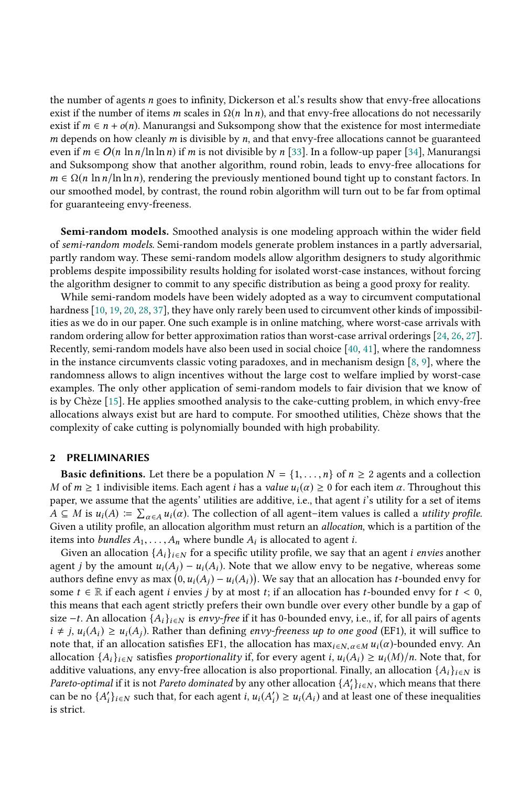the number of agents n goes to infinity, Dickerson et al.'s results show that envy-free allocations exist if the number of items m scales in  $\Omega(n \ln n)$ , and that envy-free allocations do not necessarily exist if  $m \in n + o(n)$ . Manurangsi and Suksompong show that the existence for most intermediate  $m$  depends on how cleanly  $m$  is divisible by  $n$ , and that envy-free allocations cannot be guaranteed even if  $m \in O(n \ln n / \ln \ln n)$  if m is not divisible by n [\[33\]](#page-18-2). In a follow-up paper [\[34\]](#page-18-3), Manurangsi and Suksompong show that another algorithm, round robin, leads to envy-free allocations for  $m \in \Omega(n \ln n / \ln \ln n)$ , rendering the previously mentioned bound tight up to constant factors. In our smoothed model, by contrast, the round robin algorithm will turn out to be far from optimal for guaranteeing envy-freeness.

Semi-random models. Smoothed analysis is one modeling approach within the wider field of semi-random models. Semi-random models generate problem instances in a partly adversarial, partly random way. These semi-random models allow algorithm designers to study algorithmic problems despite impossibility results holding for isolated worst-case instances, without forcing the algorithm designer to commit to any specific distribution as being a good proxy for reality.

While semi-random models have been widely adopted as a way to circumvent computational hardness [\[10,](#page-17-13) [19,](#page-17-14) [20,](#page-17-15) [28,](#page-18-8) [37\]](#page-18-9), they have only rarely been used to circumvent other kinds of impossibilities as we do in our paper. One such example is in online matching, where worst-case arrivals with random ordering allow for better approximation ratios than worst-case arrival orderings [\[24,](#page-17-16) [26,](#page-17-17) [27\]](#page-17-18). Recently, semi-random models have also been used in social choice [\[40,](#page-18-10) [41\]](#page-18-11), where the randomness in the instance circumvents classic voting paradoxes, and in mechanism design [\[8,](#page-17-19) [9\]](#page-17-20), where the randomness allows to align incentives without the large cost to welfare implied by worst-case examples. The only other application of semi-random models to fair division that we know of is by Chèze [\[15\]](#page-17-21). He applies smoothed analysis to the cake-cutting problem, in which envy-free allocations always exist but are hard to compute. For smoothed utilities, Chèze shows that the complexity of cake cutting is polynomially bounded with high probability.

#### <span id="page-4-0"></span>2 PRELIMINARIES

**Basic definitions.** Let there be a population  $N = \{1, \ldots, n\}$  of  $n \geq 2$  agents and a collection M of  $m \ge 1$  indivisible items. Each agent i has a value  $u_i(\alpha) \ge 0$  for each item  $\alpha$ . Throughout this paper, we assume that the agents' utilities are additive, i.e., that agent i's utility for a set of items  $\hat{A} \subseteq M$  is  $u_i(A) := \sum_{\alpha \in A} u_i(\alpha)$ . The collection of all agent–item values is called a *utility profile.*<br>Given a utility profile, an allocation algorithm must return an allocation which is a partition of the Given a utility profile, an allocation algorithm must return an allocation, which is a partition of the items into *bundles*  $A_1, \ldots, A_n$  where bundle  $A_i$  is allocated to agent *i*.<br>Given an allocation  $\{A_i\}_{i \in \mathbb{N}}$  for a specific utility profile, we say the

Given an allocation  $\{A_i\}_{i\in\mathbb{N}}$  for a specific utility profile, we say that an agent *i envies* another agent j by the amount  $u_i(A_i) - u_i(A_i)$ . Note that we allow envy to be negative, whereas some authors define envy as max  $(0, u_i(A_j) - u_i(A_i))$ . We say that an allocation has *t*-bounded envy for  $t \le 0$  some  $t \in \mathbb{R}$  if each agent *i* envies *i* by at most *t*; if an allocation has *t*-bounded envy for  $t \le 0$ some  $t \in \mathbb{R}$  if each agent *i* envies *j* by at most *t*; if an allocation has *t*-bounded envy for  $t < 0$ , this means that each agent strictly prefers their own bundle over every other bundle by a gap of size −t. An allocation  $\{A_i\}_{i \in N}$  is envy-free if it has 0-bounded envy, i.e., if, for all pairs of agents  $i \neq j$ ,  $u_i(A_i) \geq u_i(A_j)$ . Rather than defining envy-freeness up to one good (EF1), it will suffice to note that, if an allocation satisfies EF1, the allocation has  $\max_{i \in N, \alpha \in M} u_i(\alpha)$ -bounded envy. An allocation  $f(x)$ , we satisfies approximative if for every agent  $i, u_i(A) > u_i(M)/n$ . Note that for allocation  $\{A_i\}_{i\in\mathbb{N}}$  satisfies proportionality if, for every agent i,  $u_i(A_i) \ge u_i(M)/n$ . Note that, for additive valuations, any envy-free allocation is also proportional. Finally, an allocation  $\{A_i\}_{i\in\mathbb{N}}$  is Pareto-optimal if it is not Pareto dominated by any other allocation  $\{A'_i\}_{i\in\mathbb{N}}$ , which means that there can be no  $\{A'_i\}_{i\in\mathbb{N}}$  such that for each agent  $i, u \cdot (A') > u \cdot (A)$  and at least one of these inequalitie can be no  $\{A'_i\}_{i\in\mathbb{N}}$  such that, for each agent  $i, u_i(A'_i) \geq u_i(A_i)$  and at least one of these inequalities is strict. is strict.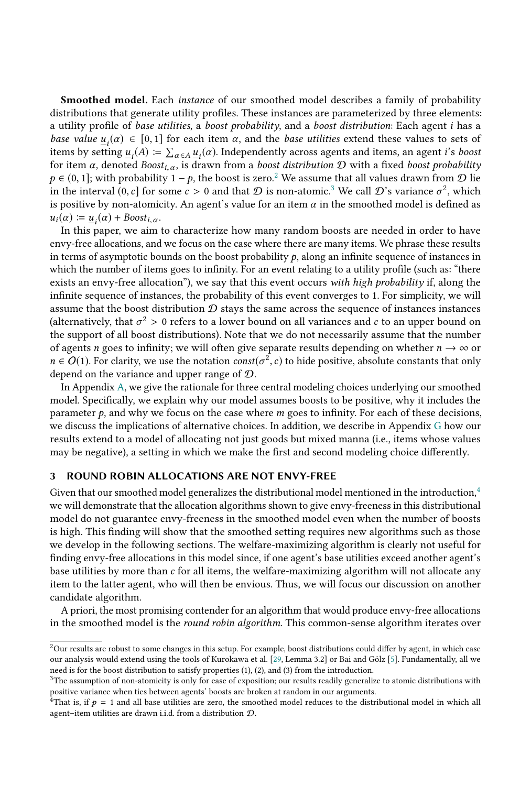Smoothed model. Each instance of our smoothed model describes a family of probability distributions that generate utility profiles. These instances are parameterized by three elements: a utility profile of base utilities, a boost probability, and a boost distribution: Each agent i has a base value  $\underline{u}_i(\alpha) \in [0,1]$  for each item  $\alpha$ , and the base utilities extend these values to sets of items by setting  $u(A) = \sum_{i=1}^{\infty} u_i(\alpha)$  Independently across agents and items an agent i's hoost items by setting  $\underline{u}_i(A) := \sum_{\alpha \in A} \underline{u}_i(\alpha)$ . Independently across agents and items, an agent *i's boost*<br>for item  $\alpha$  denoted Boost... is drawn from a *boost distribution*  $\Omega$  with a fixed boost probability The strain is boost  $\underline{u}_i(A) := \sum_{\alpha \in A} \underline{u}_i(\alpha)$ . Independently across agents and items, an agent t s boost<br>for item  $\alpha$ , denoted Boost<sub>i,  $\alpha$ </sub>, is drawn from a boost distribution D with a fixed boost probability<br> $\alpha \$  $p \in (0, 1]$ ; with probability  $1 - p$ , the boost is zero.<sup>[2](#page-5-1)</sup> We assume that all values drawn from  $\mathcal{D}$  lie in the interval  $(0, c]$  for some  $c > 0$  and that  $\mathcal D$  is non-atomic.<sup>[3](#page-5-2)</sup> We call  $\mathcal D$ 's variance  $\sigma^2$ , which is nositive by non-atomicity. An agent's value for an item  $\alpha$  in the smoothed model is defined as is positive by non-atomicity. An agent's value for an item  $\alpha$  in the smoothed model is defined as  $u_i(\alpha) \coloneqq \underline{u}_i(\alpha) + \text{Boost}_{i,\alpha}.$ <br>In this paper we aim

In this paper, we aim to characterize how many random boosts are needed in order to have envy-free allocations, and we focus on the case where there are many items. We phrase these results in terms of asymptotic bounds on the boost probability  $p$ , along an infinite sequence of instances in which the number of items goes to infinity. For an event relating to a utility profile (such as: "there exists an envy-free allocation"), we say that this event occurs with high probability if, along the infinite sequence of instances, the probability of this event converges to 1. For simplicity, we will assume that the boost distribution  $D$  stays the same across the sequence of instances instances (alternatively, that  $\sigma^2 > 0$  refers to a lower bound on all variances and c to an upper bound on the sumper bound on the sumper state is all boost distributions). Note that we do not necessarily assume that the number the support of all boost distributions). Note that we do not necessarily assume that the number of agents n goes to infinity; we will often give separate results depending on whether  $n \to \infty$  or  $n \in O(1)$ . For clarity, we use the notation  $const(\sigma^2, c)$  to hide positive, absolute constants that only depend on the variance and upper range of  $\Omega$ depend on the variance and upper range of D.

In Appendix [A,](#page-19-0) we give the rationale for three central modeling choices underlying our smoothed model. Specifically, we explain why our model assumes boosts to be positive, why it includes the parameter  $p$ , and why we focus on the case where  $m$  goes to infinity. For each of these decisions, we discuss the implications of alternative choices. In addition, we describe in Appendix [G](#page-27-0) how our results extend to a model of allocating not just goods but mixed manna (i.e., items whose values may be negative), a setting in which we make the first and second modeling choice differently.

#### <span id="page-5-0"></span>3 ROUND ROBIN ALLOCATIONS ARE NOT ENVY-FREE

Given that our smoothed model generalizes the distributional model mentioned in the introduction,<sup>[4](#page-5-3)</sup> we will demonstrate that the allocation algorithms shown to give envy-freeness in this distributional model do not guarantee envy-freeness in the smoothed model even when the number of boosts is high. This finding will show that the smoothed setting requires new algorithms such as those we develop in the following sections. The welfare-maximizing algorithm is clearly not useful for finding envy-free allocations in this model since, if one agent's base utilities exceed another agent's base utilities by more than  $c$  for all items, the welfare-maximizing algorithm will not allocate any item to the latter agent, who will then be envious. Thus, we will focus our discussion on another candidate algorithm.

A priori, the most promising contender for an algorithm that would produce envy-free allocations in the smoothed model is the *round robin algorithm*. This common-sense algorithm iterates over

<span id="page-5-1"></span> $^2$  Our results are robust to some changes in this setup. For example, boost distributions could differ by agent, in which case our analysis would extend using the tools of Kurokawa et al. [\[29,](#page-18-4) Lemma 3.2] or Bai and Gölz [\[5\]](#page-17-11). Fundamentally, all we need is for the boost distribution to satisfy properties (1), (2), and (3) from the introduction.

<span id="page-5-2"></span><sup>&</sup>lt;sup>3</sup>The assumption of non-atomicity is only for ease of exposition; our results readily generalize to atomic distributions with positive variance when ties between agents' boosts are broken at random in our arguments.

<span id="page-5-3"></span><sup>&</sup>lt;sup>4</sup>That is, if  $p = 1$  and all base utilities are zero, the smoothed model reduces to the distributional model in which all agent item utilities are drawn i.i.d. from a distribution  $\Omega$ agent–item utilities are drawn i.i.d. from a distribution D.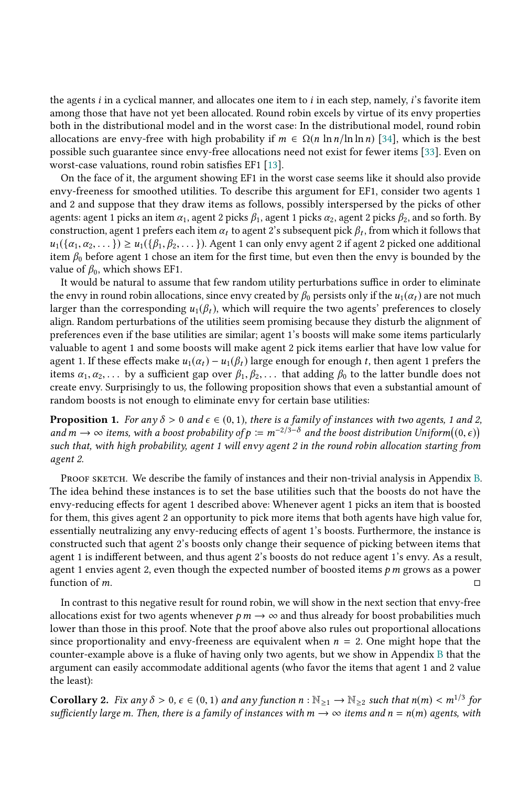the agents i in a cyclical manner, and allocates one item to i in each step, namely, i's favorite item among those that have not yet been allocated. Round robin excels by virtue of its envy properties both in the distributional model and in the worst case: In the distributional model, round robin allocations are envy-free with high probability if  $m \in \Omega(n \ln n / \ln \ln n)$  [\[34\]](#page-18-3), which is the best possible such guarantee since envy-free allocations need not exist for fewer items [\[33\]](#page-18-2). Even on worst-case valuations, round robin satisfies EF1 [\[13\]](#page-17-7).

On the face of it, the argument showing EF1 in the worst case seems like it should also provide envy-freeness for smoothed utilities. To describe this argument for EF1, consider two agents 1 and 2 and suppose that they draw items as follows, possibly interspersed by the picks of other agents: agent 1 picks an item  $\alpha_1$ , agent 2 picks  $\beta_1$ , agent 1 picks  $\alpha_2$ , agent 2 picks  $\beta_2$ , and so forth. By construction, agent 1 prefers each item  $\alpha_t$  to agent 2's subsequent pick  $\beta_t$ , from which it follows that  $\mu_t(f\alpha, \alpha_0, \lambda) > \mu_t(f\beta, \beta_0, \lambda)$ .  $u_1(\{\alpha_1,\alpha_2,\dots\}) \geq u_1(\{\beta_1,\beta_2,\dots\})$ . Agent 1 can only envy agent 2 if agent 2 picked one additional item  $\beta_0$  before agent 1 chose an item for the first time, but even then the envy is bounded by the value of  $\beta_0$ , which shows EF1.

It would be natural to assume that few random utility perturbations suffice in order to eliminate the envy in round robin allocations, since envy created by  $\beta_0$  persists only if the  $u_1(\alpha_t)$  are not much larger than the corresponding  $u_1(\beta_t)$ , which will require the two agents' preferences to closely align. Random perturbations of the utilities seem promising because they disturb the alignment of preferences even if the base utilities are similar; agent 1's boosts will make some items particularly valuable to agent 1 and some boosts will make agent 2 pick items earlier that have low value for agent 1. If these effects make  $u_1(\alpha_t) - u_1(\beta_t)$  large enough for enough t, then agent 1 prefers the items  $\alpha_1, \alpha_2, \ldots$  by a sufficient gap over  $\beta_1, \beta_2, \ldots$  that adding  $\beta_0$  to the latter bundle does not create envy. Surprisingly to us, the following proposition shows that even a substantial amount of random boosts is not enough to eliminate envy for certain base utilities:

<span id="page-6-0"></span>**Proposition 1.** For any  $\delta > 0$  and  $\epsilon \in (0, 1)$ , there is a family of instances with two agents, 1 and 2, and  $m \to \infty$  items, with a boost probability of  $p := m^{-2/3-\delta}$  and the boost distribution Uniform $((0, \epsilon))$ <br>such that with high probability agent 1 will envy goent 2 in the round robin allocation starting from such that, with high probability, agent 1 will envy agent 2 in the round robin allocation starting from agent 2.

PROOF SKETCH. We describe the family of instances and their non-trivial analysis in Appendix [B.](#page-20-0) The idea behind these instances is to set the base utilities such that the boosts do not have the envy-reducing effects for agent 1 described above: Whenever agent 1 picks an item that is boosted for them, this gives agent 2 an opportunity to pick more items that both agents have high value for, essentially neutralizing any envy-reducing effects of agent 1's boosts. Furthermore, the instance is constructed such that agent 2's boosts only change their sequence of picking between items that agent 1 is indifferent between, and thus agent 2's boosts do not reduce agent 1's envy. As a result, agent 1 envies agent 2, even though the expected number of boosted items  $p$  m grows as a power function of m. function of  $m$ . □

In contrast to this negative result for round robin, we will show in the next section that envy-free allocations exist for two agents whenever  $p \, m \rightarrow \infty$  and thus already for boost probabilities much lower than those in this proof. Note that the proof above also rules out proportional allocations since proportionality and envy-freeness are equivalent when  $n = 2$ . One might hope that the counter-example above is a fluke of having only two agents, but we show in Appendix [B](#page-20-0) that the argument can easily accommodate additional agents (who favor the items that agent 1 and 2 value the least):

**Corollary 2.** Fix any  $\delta > 0$ ,  $\epsilon \in (0, 1)$  and any function  $n : \mathbb{N}_{\geq 1} \to \mathbb{N}_{\geq 2}$  such that  $n(m) < m^{1/3}$  for exificiently large m. Then, there is a family of instances with  $m \to \infty$  items and  $n = n(m)$  agents wit sufficiently large m. Then, there is a family of instances with  $m \to \infty$  items and  $n = n(m)$  agents, with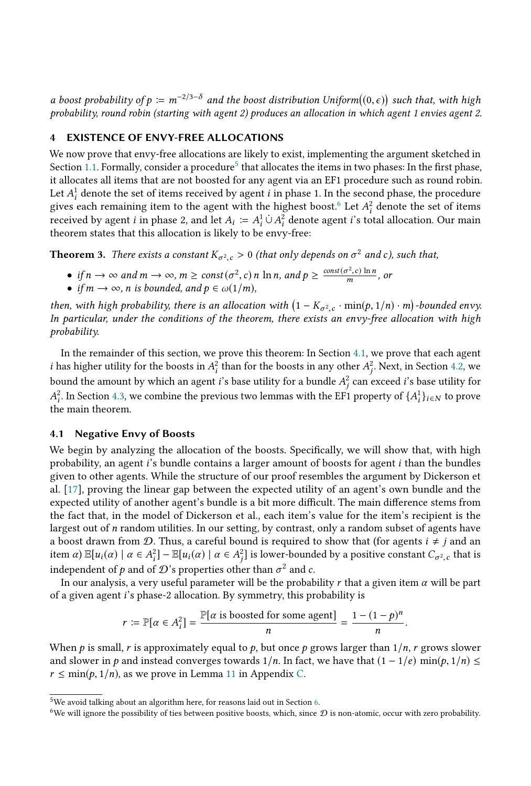a boost probability of  $p := m^{-2/3-\delta}$  and the boost distribution Uniform $((0, \epsilon))$  such that, with high probability round robin (starting with agent 2) produces an allocation in which agent 1 envies agent 2 probability, round robin (starting with agent 2) produces an allocation in which agent 1 envies agent 2.

#### <span id="page-7-0"></span>**EXISTENCE OF ENVY-FREE ALLOCATIONS**

We now prove that envy-free allocations are likely to exist, implementing the argument sketched in Section [1.1.](#page-2-0) Formally, consider a procedure<sup>[5](#page-7-1)</sup> that allocates the items in two phases: In the first phase, it allocates all items that are not boosted for any agent via an EF1 procedure such as round robin. Let  $A_i^1$  denote the set of items received by agent *i* in phase 1. In the second phase, the procedure gives each remaining item to the agent with the bighest boost  $\frac{6}{5}$  I et  $A^2$  denote the set of items gives each remaining item to the agent with the highest boost.<sup>[6](#page-7-2)</sup> Let  $A_i^2$  denote the set of items<br>received by agent *i* in phase 2, and let  $A_i := A^1 \cup A^2$  denote agent *i*'s total allocation. Our main received by agent *i* in phase 2, and let  $A_i := A_i^1 \cup A_i^2$  denote agent *i*'s total allocation. Our main theorem states that this allocation is likely to be envy-free: theorem states that this allocation is likely to be envy-free:

**Theorem 3.** There exists a constant  $K_{\sigma^2,c} > 0$  (that only depends on  $\sigma^2$  and c), such that,

- if  $n \to \infty$  and  $m \to \infty$ ,  $m \ge const(\sigma^2, c)$  n ln n, and  $p \ge \frac{const(\sigma^2, c) \ln n}{m}$ , or
- if  $m \to \infty$ , n is bounded, and  $p \in \omega(1/m)$ ,

then, with high probability, there is an allocation with  $(1 - K_{\sigma^2,c} \cdot \min(p, 1/n) \cdot m)$ -bounded envy.<br>In particular, under the conditions of the theorem, there exists an envy-free allocation with high In particular, under the conditions of the theorem, there exists an envy-free allocation with high probability.

In the remainder of this section, we prove this theorem: In Section [4.1,](#page-7-3) we prove that each agent *i* has higher utility for the boosts in  $A_i^2$  than for the boosts in any other  $A_j^2$ . Next, in Section [4.2,](#page-10-0) we have the properties of a properties of the second intervals of the second intervals of the second intervals bound the amount by which an agent *i*'s base utility for a bundle  $A_j^2$  can exceed *i*'s base utility for  $A_j^2$ . In Section 4.2, we combine the aggregator type largence with the EE1 aggregate of  $(A_1)$ , the aggregate  $\frac{2}{i}$ . In Section [4.3,](#page-10-1) we combine the previous two lemmas with the EF1 property of  $\{A_i^1\}_{i \in N}$  to prove<br>ne main theorem  $\sum_{i=1}^{n}$  and  $\sum_{i=1}^{n}$  the main theorem.

#### <span id="page-7-3"></span>4.1 Negative Envy of Boosts

We begin by analyzing the allocation of the boosts. Specifically, we will show that, with high probability, an agent i's bundle contains a larger amount of boosts for agent i than the bundles given to other agents. While the structure of our proof resembles the argument by Dickerson et al. [\[17\]](#page-17-10), proving the linear gap between the expected utility of an agent's own bundle and the expected utility of another agent's bundle is a bit more difficult. The main difference stems from the fact that, in the model of Dickerson et al., each item's value for the item's recipient is the largest out of n random utilities. In our setting, by contrast, only a random subset of agents have a boost drawn from D. Thus, a careful bound is required to show that (for agents  $i \neq j$  and an item  $\alpha$ )  $\mathbb{E}[u_i(\alpha) | \alpha \in A_i^2] - \mathbb{E}[u_i(\alpha) | \alpha \in A_i^2]$  is lower-bounded by a positive constant  $C_{\sigma^2,c}$  that is independent of p and of D's properties other than  $\sigma^2$  and c.<br>In our analysis, a very useful parameter will be the probability  $\tilde{c}$ 

In our analysis, a very useful parameter will be the probability r that a given item  $\alpha$  will be part of a given agent i's phase-2 allocation. By symmetry, this probability is

$$
r := \mathbb{P}[\alpha \in A_i^2] = \frac{\mathbb{P}[\alpha \text{ is boosted for some agent}]}{n} = \frac{1 - (1 - p)^n}{n}
$$

When p is small, r is approximately equal to p, but once p grows larger than  $1/n$ , r grows slower<br>and slower in a and instead converges towards  $1/n$ . In fact, we have that  $(1 - 1/e)$  min(a  $1/n$ ) and slower in p and instead converges towards  $1/n$ . In fact, we have that  $(1 - 1/e) \min(p, 1/n) \le$  $r \leq \min(p, 1/n)$ , as we prove in Lemma [11](#page-23-0) in Appendix [C.](#page-23-1)

<span id="page-7-4"></span><span id="page-7-1"></span> $^{5}\mathrm{We}$  avoid talking about an algorithm here, for reasons laid out in Section [6.](#page-12-0)

<span id="page-7-2"></span><sup>&</sup>lt;sup>6</sup>We will ignore the possibility of ties between positive boosts, which, since  $D$  is non-atomic, occur with zero probability.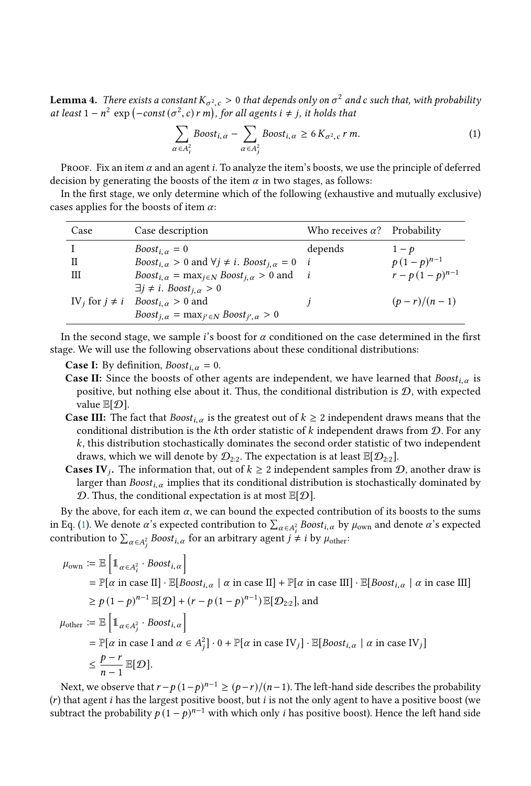**Lemma 4.** There exists a constant  $K_{\sigma^2,c} > 0$  that depends only on  $\sigma^2$  and c such that, with probability at least  $1 - n^2$  exp  $(-\text{const}(a^2, c) \cdot m)$ , for all agents  $i + j$  it holds that at least  $1 - n^2 \exp(-\text{const}(\sigma^2, c) r \, m)$ , for all agents  $i \neq j$ , it holds that

<span id="page-8-0"></span>
$$
\sum_{\alpha \in A_i^2} \text{Boost}_{i,\alpha} - \sum_{\alpha \in A_j^2} \text{Boost}_{i,\alpha} \ge 6 \, K_{\sigma^2,c} \, r \, m. \tag{1}
$$

PROOF. Fix an item  $\alpha$  and an agent i. To analyze the item's boosts, we use the principle of deferred decision by generating the boosts of the item  $\alpha$  in two stages, as follows:

In the first stage, we only determine which of the following (exhaustive and mutually exclusive) cases applies for the boosts of item  $\alpha$ :

| Case                           | Case description                                                                                                               | Who receives $\alpha$ ? Probability |                   |
|--------------------------------|--------------------------------------------------------------------------------------------------------------------------------|-------------------------------------|-------------------|
|                                | Boost <sub>i <math>\alpha</math></sub> = 0                                                                                     | depends                             | $1-p$             |
| П                              | <i>Boost</i> <sub>i, <math>\alpha</math></sub> > 0 and $\forall j \neq i$ . <i>Boost</i> <sub>i, <math>\alpha</math></sub> = 0 | i                                   | $p(1-p)^{n-1}$    |
| Ш                              | $Boost_{i,\alpha} = \max_{i \in N} Boost_{i,\alpha} > 0$ and                                                                   |                                     | $r-p(1-p)^{n-1}$  |
|                                | $\exists j \neq i$ . Boost <sub>i, <math>\alpha &gt; 0</math></sub>                                                            |                                     |                   |
| IV <sub>i</sub> for $j \neq i$ | <i>Boost</i> <sub>i.</sub> $\alpha > 0$ and                                                                                    |                                     | $(p - r)/(n - 1)$ |
|                                | $Boost_{i,\alpha} = \max_{i' \in N} Boost_{i',\alpha} > 0$                                                                     |                                     |                   |
|                                |                                                                                                                                |                                     |                   |

In the second stage, we sample *i*'s boost for  $\alpha$  conditioned on the case determined in the first stage. We will use the following observations about these conditional distributions:

**Case I:** By definition,  $Boost_{i,\alpha} = 0$ .

- **Case II:** Since the boosts of other agents are independent, we have learned that  $Boost_{i,\alpha}$  is positive, but nothing else about it. Thus, the conditional distribution is  $D$ , with expected value  $\mathbb{E}[\mathcal{D}].$
- **Case III:** The fact that  $Boost_{i,\alpha}$  is the greatest out of  $k \geq 2$  independent draws means that the conditional distribution is the kth order statistic of k independent draws from  $D$ . For any k, this distribution stochastically dominates the second order statistic of two independent draws, which we will denote by  $\mathcal{D}_{2:2}$ . The expectation is at least  $\mathbb{E}[\mathcal{D}_{2:2}]$ .
- **Cases IV**<sub>j</sub>. The information that, out of  $k \geq 2$  independent samples from  $\mathcal{D}$ , another draw is larger than Boost implies that its conditional distribution is stochastically dominated by larger than  $Boost_{i,\alpha}$  implies that its conditional distribution is stochastically dominated by  $D$ . Thus, the conditional expectation is at most  $\mathbb{E}[D]$ .

By the above, for each item  $\alpha$ , we can bound the expected contribution of its boosts to the sums in Eq. [\(1\)](#page-8-0). We denote  $\alpha$ 's expected contribution to  $\sum_{\alpha \in A_i^2}$  Boost<sub>i,  $\alpha$ </sub> by  $\mu_{own}$  and denote  $\alpha$ 's expected contribution to  $\sum_{\alpha \in A_j^2} \textit{Boost}_{i,\alpha}$  for an arbitrary agent  $j \neq i$  by  $\mu_{\text{other}}$ :

$$
\mu_{\text{own}} := \mathbb{E} \left[ \mathbb{1}_{\alpha \in A_i^2} \cdot \text{Boost}_{i,\alpha} \right]
$$
\n
$$
= \mathbb{P}[\alpha \text{ in case II}] \cdot \mathbb{E}[\text{Boost}_{i,\alpha} \mid \alpha \text{ in case II}] + \mathbb{P}[\alpha \text{ in case III}] \cdot \mathbb{E}[\text{Boost}_{i,\alpha} \mid \alpha \text{ in case III}]
$$
\n
$$
\geq p(1-p)^{n-1} \mathbb{E}[\mathcal{D}] + (r-p(1-p)^{n-1}) \mathbb{E}[\mathcal{D}_{2:2}], \text{ and}
$$
\n
$$
\mu_{\text{other}} := \mathbb{E} \left[ \mathbb{1}_{\alpha \in A_j^2} \cdot \text{Boost}_{i,\alpha} \right]
$$
\n
$$
= \mathbb{P}[\alpha \text{ in case I and } \alpha \in A_j^2] \cdot 0 + \mathbb{P}[\alpha \text{ in case IV}_j] \cdot \mathbb{E}[\text{Boost}_{i,\alpha} \mid \alpha \text{ in case IV}_j]
$$
\n
$$
\leq \frac{p-r}{n-1} \mathbb{E}[\mathcal{D}].
$$
\nNext, we show that  $p_n(\mathbf{1}, \mathbf{1})^n = \sum_{i=1}^{n-1} p_i(\mathbf{1}, \mathbf{1}) \mathbb{E}[\text{Best}_{i,\alpha} \mid \alpha \text{ in case IV}_j]$ 

Next, we observe that  $r - p(1-p)^{n-1} \ge (p-r)/(n-1)$ . The left-hand side describes the probability that agent *i* has the largest positive boost we allow a positive boost (we  $(r)$  that agent *i* has the largest positive boost, but *i* is not the only agent to have a positive boost (we subtract the probability  $p(1-p)^{n-1}$  with which only *i* has positive boost). Hence the left hand side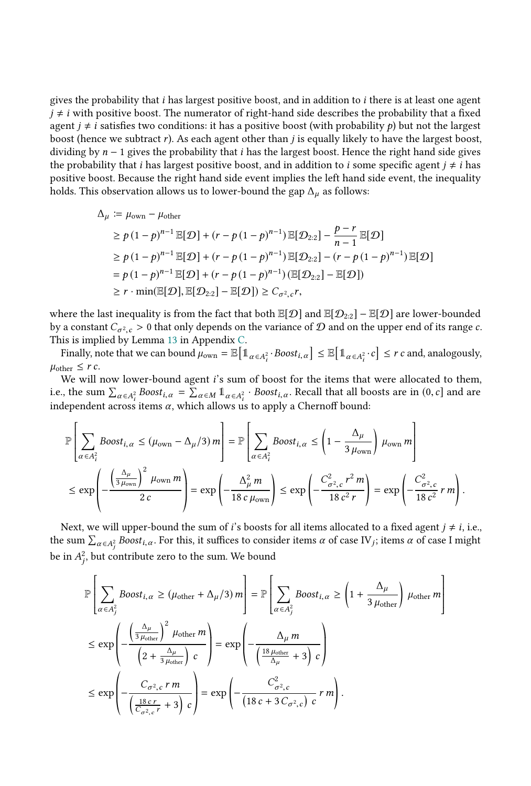gives the probability that  $i$  has largest positive boost, and in addition to  $i$  there is at least one agent  $j \neq i$  with positive boost. The numerator of right-hand side describes the probability that a fixed agent  $j \neq i$  satisfies two conditions: it has a positive boost (with probability  $p$ ) but not the largest boost (hence we subtract  $r$ ). As each agent other than  $j$  is equally likely to have the largest boost, dividing by  $n - 1$  gives the probability that i has the largest boost. Hence the right hand side gives the probability that *i* has largest positive boost, and in addition to *i* some specific agent  $j \neq i$  has positive boost. Because the right hand side event implies the left hand side event, the inequality holds. This observation allows us to lower-bound the gap  $\Delta_{\mu}$  as follows:

$$
\Delta_{\mu} := \mu_{\text{own}} - \mu_{\text{other}}
$$
\n
$$
\geq p(1-p)^{n-1} \mathbb{E}[\mathcal{D}] + (r-p(1-p)^{n-1}) \mathbb{E}[\mathcal{D}_{2:2}] - \frac{p-r}{n-1} \mathbb{E}[\mathcal{D}]
$$
\n
$$
\geq p(1-p)^{n-1} \mathbb{E}[\mathcal{D}] + (r-p(1-p)^{n-1}) \mathbb{E}[\mathcal{D}_{2:2}] - (r-p(1-p)^{n-1}) \mathbb{E}[\mathcal{D}]
$$
\n
$$
= p(1-p)^{n-1} \mathbb{E}[\mathcal{D}] + (r-p(1-p)^{n-1}) (\mathbb{E}[\mathcal{D}_{2:2}] - \mathbb{E}[\mathcal{D}])
$$
\n
$$
\geq r \cdot \min(\mathbb{E}[\mathcal{D}], \mathbb{E}[\mathcal{D}_{2:2}] - \mathbb{E}[\mathcal{D}]) \geq C_{\sigma^2, c} r,
$$

where the last inequality is from the fact that both  $\mathbb{E}[\mathcal{D}]$  and  $\mathbb{E}[\mathcal{D}_{2:2}] - \mathbb{E}[\mathcal{D}]$  are lower-bounded by a constant  $C_{\sigma^2, c} > 0$  that only depends on the variance of  $D$  and on the upper end of its range c.<br>This is implied by Lemma 13 in Appendix C This is implied by Lemma [13](#page-24-0) in Appendix [C.](#page-23-1)

Finally, note that we can bound  $\mu_{\text{own}} = \mathbb{E} \left[ \mathbb{1}_{\alpha \in A_i^2} \right]$ <sup>2</sup><sup>·</sup>Boost<sub>i,  $\alpha$ </sub>  $\leq \mathbb{E} \left[ \mathbb{1}_{\alpha \in A_i^2} \right]$  $\left[ \sum_{i}^{2} \cdot c \right] \leq r \, c$  and, analogously,  $\mu_{\text{other}} \leq r c$ .

We will now lower-bound agent *i*'s sum of boost for the items that were allocated to them, i.e., the sum  $\sum_{\alpha \in A_i^2} Boost_{i,\alpha} = \sum_{\alpha \in M} \mathbb{1}_{\alpha \in A_i^2}$ . Boost<sub>i,  $\alpha$ </sub>. Recall that all boosts are in  $(0, c]$  and are independent expections  $\alpha$ , which ellows us to enply a Charnoff bound. independent across items  $\alpha$ , which allows us to apply a Chernoff bound:

$$
\mathbb{P}\left[\sum_{\alpha \in A_i^2} \text{Boost}_{i,\alpha} \leq (\mu_{\text{own}} - \Delta_{\mu}/3) m\right] = \mathbb{P}\left[\sum_{\alpha \in A_i^2} \text{Boost}_{i,\alpha} \leq \left(1 - \frac{\Delta_{\mu}}{3 \mu_{\text{own}}}\right) \mu_{\text{own}} m\right]
$$
  

$$
\leq \exp\left(-\frac{\left(\frac{\Delta_{\mu}}{3 \mu_{\text{own}}}\right)^2 \mu_{\text{own}} m}{2 c}\right) = \exp\left(-\frac{\Delta_{\mu}^2 m}{18 c \mu_{\text{own}}}\right) \leq \exp\left(-\frac{C_{\sigma^2,c}^2 r^2 m}{18 c^2 r}\right) = \exp\left(-\frac{C_{\sigma^2,c}^2}{18 c^2} r m\right).
$$

Next, we will upper-bound the sum of *i*'s boosts for all items allocated to a fixed agent  $j \neq i$ , i.e., the sum  $\sum_{\alpha \in A_j^2}$  Boost<sub>i,  $\alpha$ </sub>. For this, it suffices to consider items  $\alpha$  of case IV<sub>j</sub>; items  $\alpha$  of case I might be in  $A_j^2$ , but contribute zero to the sum. We bound

j

$$
\mathbb{P}\left[\sum_{\alpha \in A_j^2} \text{Boost}_{i,\alpha} \ge (\mu_{\text{other}} + \Delta_{\mu}/3) m\right] = \mathbb{P}\left[\sum_{\alpha \in A_j^2} \text{Boost}_{i,\alpha} \ge \left(1 + \frac{\Delta_{\mu}}{3 \mu_{\text{other}}}\right) \mu_{\text{other}} m\right]
$$
\n
$$
\le \exp\left(-\frac{\left(\frac{\Delta_{\mu}}{3 \mu_{\text{other}}}\right)^2 \mu_{\text{other}} m}{\left(2 + \frac{\Delta_{\mu}}{3 \mu_{\text{other}}}\right) c}\right) = \exp\left(-\frac{\Delta_{\mu} m}{\left(\frac{18 \mu_{\text{other}}}{\Delta_{\mu}} + 3\right) c}\right)
$$
\n
$$
\le \exp\left(-\frac{C_{\sigma^2,c} r m}{\left(\frac{18 c r}{C_{\sigma^2,c} r} + 3\right) c}\right) = \exp\left(-\frac{C_{\sigma^2,c}^2}{\left(18 c + 3 C_{\sigma^2,c}\right) c} r m\right).
$$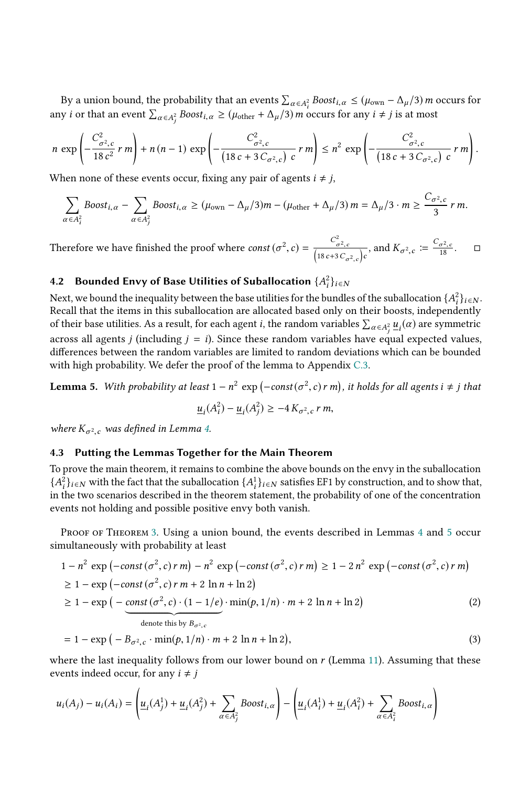By a union bound, the probability that an events  $\sum_{\alpha \in A_i^2}$  Boost<sub>i,  $\alpha \le (\mu_{\text{own}} - \Delta_{\mu}/3)$  m occurs for</sub> any *i* or that an event  $\sum_{\alpha \in A_j^2} Boost_{i,\alpha} \ge (\mu_{\text{other}} + \Delta_{\mu}/3) m$  occurs for any  $i \ne j$  is at most

$$
n \exp \left(-\frac{C_{\sigma^2,c}^2}{18 c^2} r m\right) + n(n-1) \exp \left(-\frac{C_{\sigma^2,c}^2}{(18 c + 3 C_{\sigma^2,c}) c} r m\right) \leq n^2 \exp \left(-\frac{C_{\sigma^2,c}^2}{(18 c + 3 C_{\sigma^2,c}) c} r m\right).
$$

When none of these events occur, fixing any pair of agents  $i \neq j$ ,

j

$$
\sum_{\alpha \in A_i^2} \text{Boost}_{i,\alpha} - \sum_{\alpha \in A_j^2} \text{Boost}_{i,\alpha} \ge (\mu_{\text{own}} - \Delta_{\mu}/3)m - (\mu_{\text{other}} + \Delta_{\mu}/3)m = \Delta_{\mu}/3 \cdot m \ge \frac{C_{\sigma^2,c}}{3} \cdot m.
$$

Therefore we have finished the proof where  $const(\sigma^2, c) = \frac{c}{\sqrt{18c+1}}$  $\frac{C_{\sigma^2,c}^2}{2\left(18c+3C_{\sigma^2,c}\right)}$  $\frac{c}{c}$ , and  $K_{\sigma^2,c} \coloneqq \frac{C_{\sigma^2,c}}{18}$ .  $\Box$ 

# <span id="page-10-0"></span>4.2 Bounded Envy of Base Utilities of Suballocation  $\{A_i^2\}_{i \in \mathbb{N}}$

Next, we bound the inequality between the base utilities for the bundles of the suballocation  $\{A_i^2\}_{i\in N}$ .<br>Recall that the items in this suballocation are allocated based only on their boosts, independently Recall that the items in this suballocation are allocated based only on their boosts, independently of their base utilities. As a result, for each agent *i*, the random variables  $\sum_{\alpha \in A_j^2} u_i(\alpha)$  are symmetric across all agents *j* (including *j* = *i*). Since these random variables have equal expected values, differences between the random variables are limited to random deviations which can be bounded differences between the random variables are limited to random deviations which can be bounded with high probability. We defer the proof of the lemma to Appendix [C.3.](#page-24-1)

<span id="page-10-2"></span>**Lemma 5.** With probability at least  $1 - n^2 \exp(-\text{const}(\sigma^2, c) r m)$ , it holds for all agents  $i \neq j$  that

<span id="page-10-3"></span>
$$
\underline{u}_i(A_i^2) - \underline{u}_i(A_j^2) \ge -4 K_{\sigma^2,c} \, r \, m,
$$

where  $K_{\sigma^2,c}$  was defined in Lemma [4.](#page-7-4)

#### <span id="page-10-1"></span>4.3 Putting the Lemmas Together for the Main Theorem

To prove the main theorem, it remains to combine the above bounds on the envy in the suballocation  ${A_i^2}_{i \in \mathbb{N}}$  with the fact that the suballocation  ${A_i^1}_{i \in \mathbb{N}}$  satisfies EF1 by construction, and to show that, in the two scenarios described in the theorem statement, the probability of one of the concentratio i i in the two scenarios described in the theorem statement, the probability of one of the concentration events not holding and possible positive envy both vanish.

PROOF OF THEOREM [3.](#page-3-1) Using a union bound, the events described in Lemmas [4](#page-7-4) and [5](#page-10-2) occur simultaneously with probability at least

$$
1 - n2 \exp(-\text{const}(\sigma^{2}, c) r m) - n2 \exp(-\text{const}(\sigma^{2}, c) r m) \ge 1 - 2 n2 \exp(-\text{const}(\sigma^{2}, c) r m)
$$
  
\n
$$
\ge 1 - \exp(-\text{const}(\sigma^{2}, c) r m + 2 \ln n + \ln 2)
$$
  
\n
$$
\ge 1 - \exp(-\frac{\text{const}(\sigma^{2}, c) \cdot (1 - 1/e)}{\text{const}(\sigma^{2}, c) \cdot (1 - 1/e)} \cdot \min(p, 1/n) \cdot m + 2 \ln n + \ln 2)
$$
 (2)

$$
= 1 - \exp(-B_{\sigma^2,c} \cdot \min(p, 1/n) \cdot m + 2 \ln n + \ln 2), \tag{3}
$$

where the last inequality follows from our lower bound on  $r$  (Lemma [11\)](#page-23-0). Assuming that these events indeed occur, for any  $i \neq j$ 

$$
u_i(A_j) - u_i(A_i) = \left(\underline{u}_i(A_j^1) + \underline{u}_i(A_j^2) + \sum_{\alpha \in A_j^2} \text{Boost}_{i,\alpha}\right) - \left(\underline{u}_i(A_i^1) + \underline{u}_i(A_i^2) + \sum_{\alpha \in A_i^2} \text{Boost}_{i,\alpha}\right)
$$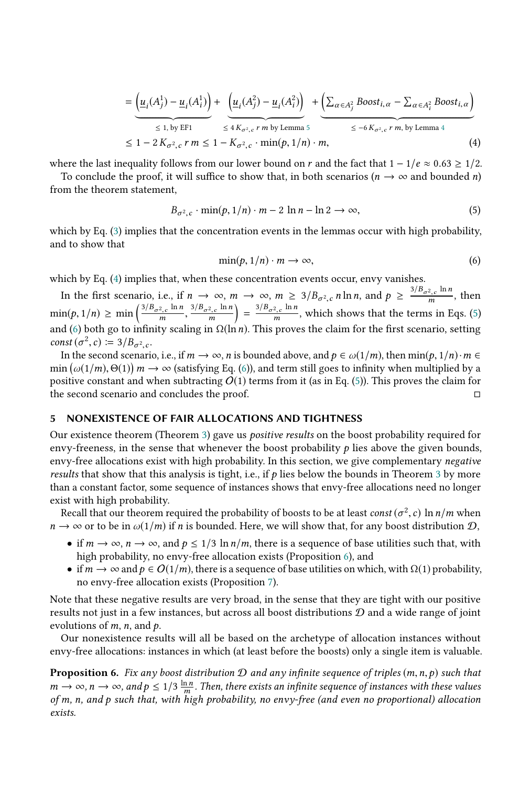$$
= \underbrace{\left(\underline{u}_i(A_j^1) - \underline{u}_i(A_i^1)\right)}_{\leq 1, \text{ by EFI}} + \underbrace{\left(\underline{u}_i(A_j^2) - \underline{u}_i(A_i^2)\right)}_{\leq 4 K_{\sigma^2, c} r \text{ m by Lemma 5}} + \underbrace{\left(\sum_{\alpha \in A_j^2} \text{Boost}_{i, \alpha} - \sum_{\alpha \in A_i^2} \text{Boost}_{i, \alpha}\right)}_{\leq -6 K_{\sigma^2, c} r \text{ m, by Lemma 4}}
$$
\n
$$
\leq 1 - 2 K_{\sigma^2, c} r \text{ m} \leq 1 - K_{\sigma^2, c} \cdot \min(p, 1/n) \cdot m, \tag{4}
$$

where the last inequality follows from our lower bound on r and the fact that  $1 - 1/e \approx 0.63 \ge 1/2$ .

To conclude the proof, it will suffice to show that, in both scenarios ( $n \to \infty$  and bounded n) from the theorem statement,

<span id="page-11-2"></span>
$$
B_{\sigma^2,c} \cdot \min(p, 1/n) \cdot m - 2 \ln n - \ln 2 \to \infty,
$$
 (5)

which by Eq. [\(3\)](#page-10-3) implies that the concentration events in the lemmas occur with high probability, and to show that

<span id="page-11-3"></span><span id="page-11-1"></span>
$$
\min(p, 1/n) \cdot m \to \infty,\tag{6}
$$

which by Eq. [\(4\)](#page-11-1) implies that, when these concentration events occur, envy vanishes.

In the first scenario, i.e., if  $n \to \infty$ ,  $m \to \infty$ ,  $m \geq 3/B_{\sigma^2,c} n \ln n$ , and  $p \geq \frac{3/B_{\sigma^2,c} \ln n}{m}$ , then  $\min(p, 1/n) \ge \min\left(\frac{3/B_{\sigma^2, c} \ln n}{m}, \frac{3/B_{\sigma^2, c} \ln n}{m}\right) = \frac{3/B_{\sigma^2, c} \ln n}{m}$ , which shows that the terms and [\(6\)](#page-11-3) both go to infinity scaling in  $\Omega(\ln n)$ . This proves the claim for the first scenario, setting const ( $\sigma^2$  c) :  $\pi^3/B$  as  $\frac{1}{1}$  $\frac{3/B_{\sigma^2,c} \ln n}{m}$  =  $\frac{3/B_{\sigma^2,c} \ln n}{m}$ , which shows that the terms in Eqs. [\(5\)](#page-11-2) const  $(\sigma^2, c) \coloneqq 3/B_{\sigma^2, c}$ .<br>In the second scenari

In the second scenario, i.e., if  $m \to \infty$ , n is bounded above, and  $p \in \omega(1/m)$ , then  $\min(p, 1/n) \cdot m \in$ <br> $\Omega(\omega(1/m), \Theta(1)) \cdot m \to \infty$  (satisfying Eq. (6)), and term still goes to infinity when multiplied by a min  $(\omega(1/m), \Theta(1))$   $m \to \infty$  (satisfying Eq. [\(6\)](#page-11-3)), and term still goes to infinity when multiplied by a positive constant and when subtracting  $O(1)$  terms from it (as in Eq. (5)). This proves the claim for positive constant and when subtracting  $O(1)$  terms from it (as in Eq. [\(5\)](#page-11-2)). This proves the claim for the second scenario and concludes the proof. □

#### <span id="page-11-0"></span>5 NONEXISTENCE OF FAIR ALLOCATIONS AND TIGHTNESS

Our existence theorem (Theorem [3\)](#page-3-1) gave us positive results on the boost probability required for envy-freeness, in the sense that whenever the boost probability  $p$  lies above the given bounds, envy-free allocations exist with high probability. In this section, we give complementary negative results that show that this analysis is tight, i.e., if  $p$  lies below the bounds in Theorem [3](#page-3-1) by more than a constant factor, some sequence of instances shows that envy-free allocations need no longer exist with high probability.

Recall that our theorem required the probability of boosts to be at least *const*  $(\sigma^2, c)$  ln  $n/m$  when  $\rightarrow \infty$  or to be in  $\omega(1/m)$  if *n* is bounded. Here, we will show that, for any boost distribution  $\Omega$  $n \to \infty$  or to be in  $\omega(1/m)$  if n is bounded. Here, we will show that, for any boost distribution  $\mathcal{D}$ ,

- if  $m \to \infty$ ,  $n \to \infty$ , and  $p \leq 1/3 \ln n/m$ , there is a sequence of base utilities such that, with high probability, no envy-free allocation exists (Proposition [6\)](#page-11-4), and
- if  $m \to \infty$  and  $p \in O(1/m)$ , there is a sequence of base utilities on which, with  $\Omega(1)$  probability, no envy-free allocation exists (Proposition [7\)](#page-12-1).

Note that these negative results are very broad, in the sense that they are tight with our positive results not just in a few instances, but across all boost distributions  $D$  and a wide range of joint evolutions of  $m$ ,  $n$ , and  $p$ .

Our nonexistence results will all be based on the archetype of allocation instances without envy-free allocations: instances in which (at least before the boosts) only a single item is valuable.

<span id="page-11-4"></span>**Proposition 6.** Fix any boost distribution  $D$  and any infinite sequence of triples  $(m, n, p)$  such that  $m \to \infty$ ,  $n \to \infty$ , and  $p \le 1/3$   $\frac{\ln n}{m}$ . Then, there exists an infinite sequence of instances with these values<br>of m, n, and p such that, with high probability no envy-free (and even no proportional) allocation m of m, n, and p such that, with high probability, no envy-free (and even no proportional) allocation exists.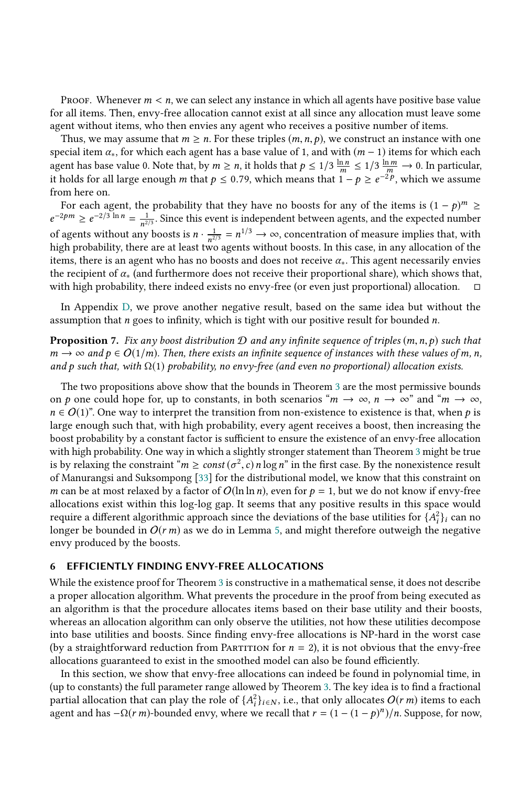Proof. Whenever  $m < n$ , we can select any instance in which all agents have positive base value for all items. Then, envy-free allocation cannot exist at all since any allocation must leave some agent without items, who then envies any agent who receives a positive number of items.

Thus, we may assume that  $m \ge n$ . For these triples  $(m, n, p)$ , we construct an instance with one special item  $\alpha_*$ , for which each agent has a base value of 1, and with  $(m - 1)$  items for which each special item  $\alpha_*$ , for which each agent has a base value of 1, and with  $(m-1)$  items for which each agent has base value 0. Note that by  $m > n$  it holds that  $n \le 1/3 \frac{\ln n}{\sqrt{1.2 \cdot 10}} \le 1/3 \frac{\ln m}{\sqrt{1.2 \cdot 10}} \approx 0$ . In par agent has base value 0. Note that, by  $m \ge n$ , it holds that  $p \le 1/3 \frac{\ln n}{m}$ <br>it holds for all large enough m that  $p \le 0.79$  which means that 1.  $\leq 1/3 \frac{\ln m}{m} \to 0$ . In particular, it holds for all large enough *m* that  $p \le 0.79$ , which means that  $1-p \ge e^{-2p}$ , which we assume from here on from here on.

For each agent, the probability that they have no boosts for any of the items is  $(1 - p)^m \ge$ <br> $2pm \leq 2^{2/3} \ln n - 1$ . Since this event is independent between agents, and the expected number of agents without any boosts is  $n \cdot \frac{1}{n^{2/3}} = n^{1/3} \rightarrow \infty$ , concentration of measure implies that, with high probability there are at least two agents without boosts. In this case, in any allocation of the  $e^{-2pm} \ge e^{-2/3 \ln n} = \frac{1}{n^{2/3}}$ . Since this event is independent between agents, and the expected number n high probability, there are at least two agents without boosts. In this case, in any allocation of the items, there is an agent who has no boosts and does not receive  $\alpha_*$ . This agent necessarily envies the recipient of  $\alpha_*$  (and furthermore does not receive their proportional share), which shows that, with high probability, there indeed exists no envy-free (or even just proportional) allocation.  $\Box$ with high probability, there indeed exists no envy-free (or even just proportional) allocation.

In Appendix [D,](#page-25-0) we prove another negative result, based on the same idea but without the assumption that  $n$  goes to infinity, which is tight with our positive result for bounded  $n$ .

<span id="page-12-1"></span>**Proposition** 7. Fix any boost distribution  $D$  and any infinite sequence of triples  $(m, n, p)$  such that  $m \to \infty$  and  $p \in O(1/m)$ . Then, there exists an infinite sequence of instances with these values of m, n, and p such that, with  $\Omega(1)$  probability, no envy-free (and even no proportional) allocation exists.

The two propositions above show that the bounds in Theorem [3](#page-3-1) are the most permissive bounds on p one could hope for, up to constants, in both scenarios " $m \to \infty$ ,  $n \to \infty$ " and " $m \to \infty$ ,  $n \in O(1)$ ". One way to interpret the transition from non-existence to existence is that, when p is large enough such that, with high probability, every agent receives a boost, then increasing the boost probability by a constant factor is sufficient to ensure the existence of an envy-free allocation with high probability. One way in which a slightly stronger statement than Theorem [3](#page-3-1) might be true is by relaxing the constraint " $m \ge const (\sigma^2, c) n \log n$ " in the first case. By the nonexistence result<br>of Manurangsi and Suksompong [33] for the distributional model, we know that this constraint on of Manurangsi and Suksompong [\[33\]](#page-18-2) for the distributional model, we know that this constraint on m can be at most relaxed by a factor of  $O(\ln \ln n)$ , even for  $p = 1$ , but we do not know if envy-free allocations exist within this log-log gap. It seems that any positive results in this space would require a different algorithmic approach since the deviations of the base utilities for  $\{A_i^2\}_i$  can no<br>longer be bounded in  $O(r m)$  as we do in Lemma 5, and might therefore outweigh the negative longer be bounded in  $O(r m)$  as we do in Lemma [5,](#page-10-2) and might therefore outweigh the negative envy produced by the boosts. envy produced by the boosts.

#### <span id="page-12-0"></span>6 EFFICIENTLY FINDING ENVY-FREE ALLOCATIONS

While the existence proof for Theorem [3](#page-3-1) is constructive in a mathematical sense, it does not describe a proper allocation algorithm. What prevents the procedure in the proof from being executed as an algorithm is that the procedure allocates items based on their base utility and their boosts, whereas an allocation algorithm can only observe the utilities, not how these utilities decompose into base utilities and boosts. Since finding envy-free allocations is NP-hard in the worst case (by a straightforward reduction from PARTITION for  $n = 2$ ), it is not obvious that the envy-free allocations guaranteed to exist in the smoothed model can also be found efficiently.

In this section, we show that envy-free allocations can indeed be found in polynomial time, in (up to constants) the full parameter range allowed by Theorem [3.](#page-3-1) The key idea is to find a fractional partial allocation that can play the role of  $\{A_i^2\}_{i\in\mathbb{N}}$ , i.e., that only allocates  $O(r m)$  items to each agent and has  $-O(r m)$ -bounded enough where we recall that  $r - (1 - (1 - n)^n)/n$ . Suppose for now agent and has  $-\Omega(r m)$ -bounded envy, where we recall that  $r = (1 - (1 - p)^n)/n$ . Suppose, for now,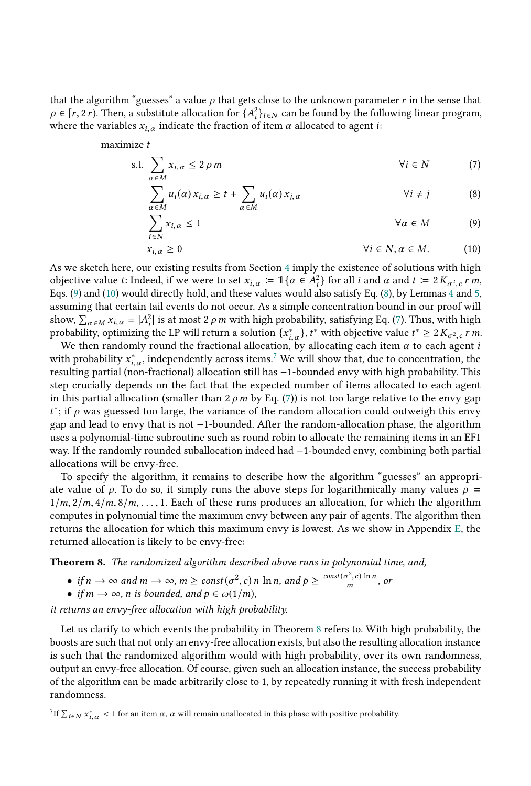that the algorithm "guesses" a value  $\rho$  that gets close to the unknown parameter r in the sense that  $\rho \in [r, 2r)$ . Then, a substitute allocation for  $\{A_i^2\}_{i \in N}$  can be found by the following linear program, where the variables  $x_{i,\alpha}$  indicate the fraction of item  $\alpha$  allocated to agent *i*:

maximize t

$$
\text{s.t.} \sum_{\alpha \in M} x_{i,\alpha} \le 2 \rho \, m \tag{7}
$$

<span id="page-13-3"></span><span id="page-13-2"></span>
$$
\sum_{\alpha \in M} u_i(\alpha) x_{i,\alpha} \ge t + \sum_{\alpha \in M} u_i(\alpha) x_{j,\alpha} \qquad \forall i \ne j \qquad (8)
$$

$$
\sum_{i \in N} x_{i,\alpha} \le 1 \qquad \forall \alpha \in M \qquad (9)
$$
\n
$$
x_{i,\alpha} \ge 0 \qquad \forall i \in N, \alpha \in M. \qquad (10)
$$

<span id="page-13-1"></span><span id="page-13-0"></span>
$$
x_{i,\alpha} \ge 0 \qquad \qquad \forall i \in N, \alpha \in M. \tag{10}
$$

As we sketch here, our existing results from Section [4](#page-7-0) imply the existence of solutions with high objective value t: Indeed, if we were to set  $x_{i,\alpha} := \mathbb{1}\{\alpha \in A_i^2\}$  for all i and  $\alpha$  and  $t := 2K_{\sigma^2,c}r m$ ,<br>Eqs. (9) and (10) would directly hold, and these values would also satisfy Eq. (8) by Lemmas 4 and 5. Eqs. [\(9\)](#page-13-0) and [\(10\)](#page-13-1) would directly hold, and these values would also satisfy Eq. [\(8\)](#page-13-2), by Lemmas [4](#page-7-4) and [5,](#page-10-2) assuming that certain tail events do not occur. As a simple concentration bound in our proof will show,  $\sum_{\alpha \in M} x_{i,\alpha} = |A_i^2|$  is at most 2 *ρ m* with high probability, satisfying Eq. [\(7\)](#page-13-3). Thus, with high probability optimizing the LP will return a solution  $f x^* \rightarrow f^*$  with objective value  $f^* > 2K$  and  $f$  m probability, optimizing the LP will return a solution  $\{x_{i,\alpha}^*\}$ ,  $t^*$  with objective value  $t^* \geq 2K_{\sigma^2,c}r$  *m*.<br>We then randomly round the fractional allocation, by allocating each item  $\alpha$  to each agent *i* 

We then randomly round the fractional allocation, by allocating each item  $\alpha$  to each agent *i*<br>th probability  $x^*$  independently across items <sup>7</sup> We will show that due to concentration the with probability  $x_{i,\alpha}^*$ , independently across items.<sup>[7](#page-13-4)</sup> We will show that, due to concentration, the resulting partial (pop-fractional) allocation still has  $-1$ -bounded envy with high probability. This resulting partial (non-fractional) allocation still has −1-bounded envy with high probability. This step crucially depends on the fact that the expected number of items allocated to each agent in this partial allocation (smaller than  $2 \rho m$  by Eq. [\(7\)](#page-13-3)) is not too large relative to the envy gap t gap and lead to envy that is not −1-bounded. After the random-allocation phase, the algorithm <sup>\*</sup>; if  $\rho$  was guessed too large, the variance of the random allocation could outweigh this envy<br>ran and lead to envy that is not -1-bounded. After the random-allocation phase, the algorithm uses a polynomial-time subroutine such as round robin to allocate the remaining items in an EF1 way. If the randomly rounded suballocation indeed had −1-bounded envy, combining both partial allocations will be envy-free.

To specify the algorithm, it remains to describe how the algorithm "guesses" an appropriate value of  $\rho$ . To do so, it simply runs the above steps for logarithmically many values  $\rho =$  $1/m$ ,  $2/m$ ,  $4/m$ ,  $8/m$ ,  $\ldots$ , 1. Each of these runs produces an allocation, for which the algorithm computes in polynomial time the maximum envy between any pair of agents. The algorithm then returns the allocation for which this maximum envy is lowest. As we show in Appendix [E,](#page-25-1) the returned allocation is likely to be envy-free:

<span id="page-13-5"></span>Theorem 8. The randomized algorithm described above runs in polynomial time, and,

- if  $n \to \infty$  and  $m \to \infty$ ,  $m \ge const(\sigma^2, c)$  n ln n, and  $p \ge \frac{const(\sigma^2, c) \ln n}{m}$ , or
- if  $m \to \infty$ , n is bounded, and  $p \in \omega(1/m)$ ,

it returns an envy-free allocation with high probability.

Let us clarify to which events the probability in Theorem [8](#page-13-5) refers to. With high probability, the boosts are such that not only an envy-free allocation exists, but also the resulting allocation instance is such that the randomized algorithm would with high probability, over its own randomness, output an envy-free allocation. Of course, given such an allocation instance, the success probability of the algorithm can be made arbitrarily close to 1, by repeatedly running it with fresh independent randomness.

<span id="page-13-4"></span><sup>7</sup>If  $\sum_{i \in N} x_{i,\alpha}^* < 1$  for an item  $\alpha$ ,  $\alpha$  will remain unallocated in this phase with positive probability.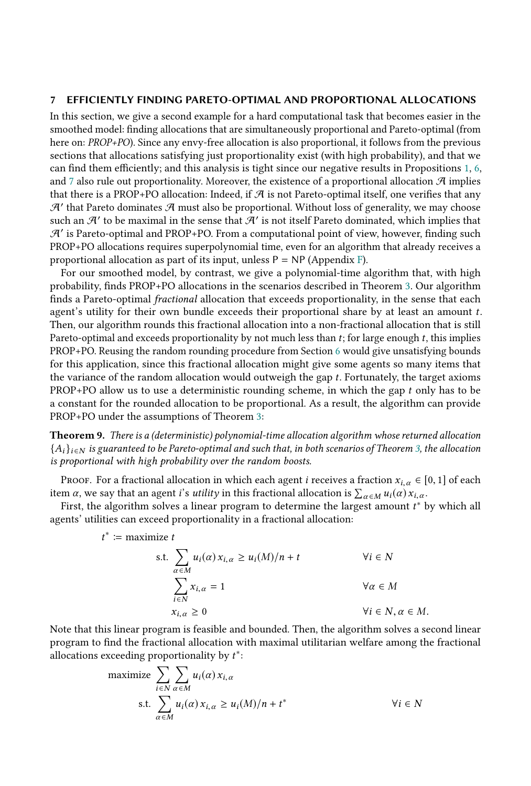#### <span id="page-14-0"></span>7 EFFICIENTLY FINDING PARETO-OPTIMAL AND PROPORTIONAL ALLOCATIONS

In this section, we give a second example for a hard computational task that becomes easier in the smoothed model: finding allocations that are simultaneously proportional and Pareto-optimal (from here on: PROP+PO). Since any envy-free allocation is also proportional, it follows from the previous sections that allocations satisfying just proportionality exist (with high probability), and that we can find them efficiently; and this analysis is tight since our negative results in Propositions [1,](#page-6-0) [6,](#page-11-4) and [7](#page-12-1) also rule out proportionality. Moreover, the existence of a proportional allocation  $\mathcal{A}$  implies that there is a PROP+PO allocation: Indeed, if  $A$  is not Pareto-optimal itself, one verifies that any  $\mathcal{A}'$  that Pareto dominates  $\mathcal{A}$  must also be proportional. Without loss of generality, we may choose such an  $\mathcal{A}'$  to be maximal in the sense that  $\mathcal{A}'$  is not itself Pareto dominated, which implies that A′ is Pareto-optimal and PROP+PO. From a computational point of view, however, finding such PROP+PO allocations requires superpolynomial time, even for an algorithm that already receives a proportional allocation as part of its input, unless  $P = NP$  (Appendix [F\)](#page-27-1).

For our smoothed model, by contrast, we give a polynomial-time algorithm that, with high probability, finds PROP+PO allocations in the scenarios described in Theorem [3.](#page-3-1) Our algorithm finds a Pareto-optimal fractional allocation that exceeds proportionality, in the sense that each agent's utility for their own bundle exceeds their proportional share by at least an amount t. Then, our algorithm rounds this fractional allocation into a non-fractional allocation that is still Pareto-optimal and exceeds proportionality by not much less than  $t$ ; for large enough  $t$ , this implies PROP+PO. Reusing the random rounding procedure from Section [6](#page-12-0) would give unsatisfying bounds for this application, since this fractional allocation might give some agents so many items that the variance of the random allocation would outweigh the gap t. Fortunately, the target axioms  $PROP+PO$  allow us to use a deterministic rounding scheme, in which the gap t only has to be a constant for the rounded allocation to be proportional. As a result, the algorithm can provide PROP+PO under the assumptions of Theorem [3:](#page-3-1)

Theorem 9. There is a (deterministic) polynomial-time allocation algorithm whose returned allocation  ${A_i}_{i \in N}$  is guaranteed to be Pareto-optimal and such that, in both scenarios of Theorem [3,](#page-3-1) the allocation is proportional with high probability over the random boosts.

Proof. For a fractional allocation in which each agent *i* receives a fraction  $x_{i,\alpha} \in [0,1]$  of each item  $\alpha$ , we say that an agent i's *utility* in this fractional allocation is  $\sum_{\alpha \in M} u_i(\alpha) x_{i,\alpha}$ .<br>First, the algorithm solves a linear program to determine the largest amount  $t^*$ 

First, the algorithm solves a linear program to determine the largest amount  $t^*$  by which all ents' utilities can exceed proportionality in a fractional allocation: agents' utilities can exceed proportionality in a fractional allocation:

$$
t^* \coloneqq \text{maximize } t
$$

s.t. 
$$
\sum_{\alpha \in M} u_i(\alpha) x_{i,\alpha} \ge u_i(M)/n + t \qquad \forall i \in N
$$

$$
\sum_{i \in N} x_{i,\alpha} = 1 \qquad \forall \alpha \in M
$$

$$
x_{i,\alpha} \ge 0 \qquad \forall i \in N, \alpha \in M.
$$

Note that this linear program is feasible and bounded. Then, the algorithm solves a second linear program to find the fractional allocation with maximal utilitarian welfare among the fractional allocations exceeding proportionality by  $t^*$ :

$$
\begin{aligned}\n\text{maximize} & \sum_{i \in N} \sum_{\alpha \in M} u_i(\alpha) \, x_{i,\alpha} \\
\text{s.t.} & \sum_{\alpha \in M} u_i(\alpha) \, x_{i,\alpha} \ge u_i(M)/n + t^* \\
\text{ } \forall i \in N\n\end{aligned}
$$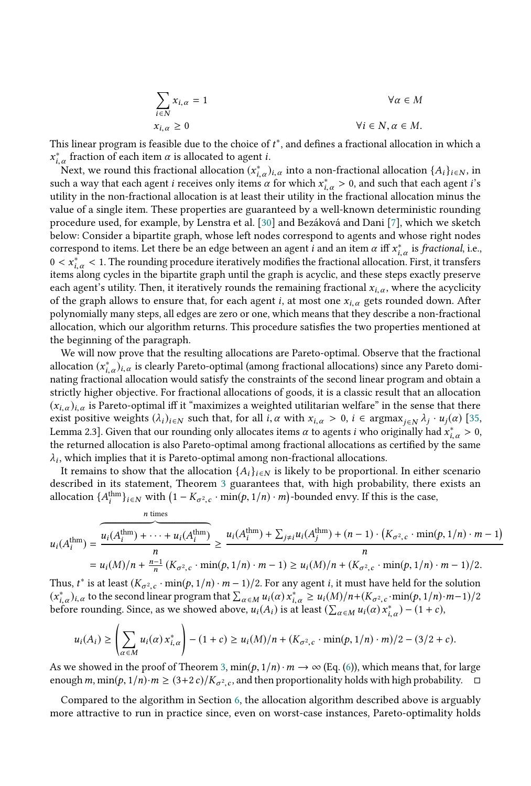$$
\sum_{i \in N} x_{i,\alpha} = 1 \qquad \forall \alpha \in M
$$
  

$$
x_{i,\alpha} \ge 0 \qquad \forall i \in N, \alpha \in M.
$$

This linear program is feasible due to the choice of  $t^*$ , and defines a fractional allocation in which a  $x^*$  fraction of each item  $\alpha$  is allocated to agent  $i$ . <sup>\*</sup>, a fraction of each item  $\alpha$  is allocated to agent *i*.<br>Next, we round this fractional allocation  $(x^*)$ 

Next, we round this fractional allocation  $(x_{i,\alpha}^*)_{i,\alpha}$  into a non-fractional allocation  $\{A_i\}_{i\in\mathbb{N}}$ , in  $A_i$ , we receive a non-tractional allocation  $\{A_i\}_{i\in\mathbb{N}}$ , in such a way that each agent *i* receives only items  $\alpha$  for which  $x_{i,\alpha}^{*} > 0$ , and such that each agent *i*'s<br>utility in the non-fractional allocation is at least their utility in the fractional allocation minus the utility in the non-fractional allocation is at least their utility in the fractional allocation minus the value of a single item. These properties are guaranteed by a well-known deterministic rounding procedure used, for example, by Lenstra et al. [\[30\]](#page-18-12) and Bezáková and Dani [\[7\]](#page-17-22), which we sketch below: Consider a bipartite graph, whose left nodes correspond to agents and whose right nodes correspond to items. Let there be an edge between an agent *i* and an item  $\alpha$  iff  $x_{i,\alpha}^*$  is *fractional*, i.e.,  $0 \leq x^* \leq 1$ . The rounding procedure iteratively modifies the fractional allocation. First, it transf  $0 < x_{i,\alpha}^* < 1$ . The rounding procedure iteratively modifies the fractional allocation. First, it transfers items along cycles in the binartite graph until the graph is acyclic, and these steps exactly preserve items along cycles in the bipartite graph until the graph is acyclic, and these steps exactly preserve each agent's utility. Then, it iteratively rounds the remaining fractional  $x_{i,\alpha}$ , where the acyclicity of the graph allows to ensure that, for each agent *i*, at most one  $x_{i,\alpha}$  gets rounded down. After polynomially many steps, all edges are zero or one, which means that they describe a non-fractional allocation, which our algorithm returns. This procedure satisfies the two properties mentioned at the beginning of the paragraph.

We will now prove that the resulting allocations are Pareto-optimal. Observe that the fractional allocation  $(x_{i,\alpha}^*)_{i,\alpha}$  is clearly Pareto-optimal (among fractional allocations) since any Pareto domi-<br>nating fractional allocation would eatisfy the constraints of the second linear program and obtain a nating fractional allocation would satisfy the constraints of the second linear program and obtain a strictly higher objective. For fractional allocations of goods, it is a classic result that an allocation  $(x_{i,\alpha})_{i,\alpha}$  is Pareto-optimal iff it "maximizes a weighted utilitarian welfare" in the sense that there exist positive weights  $(\lambda_i)_{i \in \mathbb{N}}$  such that, for all  $i, \alpha$  with  $x_{i,\alpha} > 0$ ,  $i \in \operatorname{argmax}_{j \in \mathbb{N}} \lambda_j \cdot u_j(\alpha)$  [\[35,](#page-18-13) Lemma 2.3]. Given that our rounding only allocates items  $\alpha$  to agents *i* who originally had  $x_{i,\alpha}^{*} > 0$ , the returned allocation is also Pareto-ontimal among fractional allocations as certified by the same the returned allocation is also Pareto-optimal among fractional allocations as certified by the same , which implies that it is Pareto-optimal among non-fractional allocations.

 $\ddot{\phantom{0}}$ It remains to show that the allocation  $\{A_i\}_{i\in\mathbb{N}}$  is likely to be proportional. In either scenario described in its statement, Theorem [3](#page-3-1) guarantees that, with high probability, there exists an allocation  $\{A_i^{\text{thm}}\}_{i \in \mathbb{N}}$  with  $(1 - K_{\sigma^2,c} \cdot \min(p, 1/n) \cdot m)$ -bounded envy. If this is the case,  $\cdot$   $\overline{\phantom{a}}$ 

$$
u_i(A_i^{\text{thm}}) = \underbrace{\overbrace{u_i(A_i^{\text{thm}}) + \cdots + u_i(A_i^{\text{thm}})}^{n \text{ times}}}_{n} \ge \underbrace{u_i(A_i^{\text{thm}}) + \sum_{j \neq i} u_i(A_j^{\text{thm}}) + (n-1) \cdot (K_{\sigma^2,c} \cdot \min(p, 1/n) \cdot m - 1)}_{n}
$$
\n
$$
= u_i(M)/n + \frac{n-1}{n} (K_{\sigma^2,c} \cdot \min(p, 1/n) \cdot m - 1) \ge u_i(M)/n + (K_{\sigma^2,c} \cdot \min(p, 1/n) \cdot m - 1)/2.
$$
\nThus,  $t^*$  is at least  $(K_{\sigma^2,c} \cdot \min(p, 1/n) \cdot m - 1)/2$ . For any agent *i*, it must have held for the solution  $(x^*)$ .  
\n $(x^*)$ .  
\n $(x^*)$ .  
\n $(x^*)$ .  
\n $(x^*)$ .  
\n $(x^*)$ .  
\n $(x^*)$ .  
\n $(x^*)$ .  
\n $(x^*)$ .  
\n $(x^*)$ .  
\n $(x^*)$ .  
\n $(x^*)$ .  
\n $(x^*)$ .  
\n $(x^*)$ .  
\n $(x^*)$ .  
\n $(x^*)$ .  
\n $(x^*)$ .  
\n $(x^*)$ .  
\n $(x^*)$ .  
\n $(x^*)$ .  
\n $(x^*)$ .  
\n $(x^*)$ .  
\n $(x^*)$ .  
\n $(x^*)$ .  
\n $(x^*)$ .  
\n $(x^*)$ .  
\n $(x^*)$ .  
\n $(x^*)$ .  
\n $(x^*)$ .  
\n $(x^*)$ .  
\n $(x^*)$ .  
\n $(x^*)$ .  
\n $(x^*)$ .  
\n $(x^*)$ .  
\n $(x^*)$ .  
\n $(x^*)$ .  
\n $(x^*)$ 

 $(x_{i,\alpha}^*)_{i,\alpha}$  to the second linear program that  $\sum_{\alpha \in M} u_i(\alpha) x_{i,\alpha}^* \ge u_i(M)/n + (K_{\sigma^2,c} \cdot \min(p, 1/n) \cdot m-1)/2$ <br>before rounding. Since as we showed above  $u_i(A_i)$  is at least  $(\sum_{i=1} u_i(\alpha) x^* ) = (1+c)$ before rounding. Since, as we showed above,  $u_i(A_i)$  is at least  $(\sum_{\alpha \in M} u_i(\alpha) x_{i,\alpha}^*) - (1+c)$ ,

$$
u_i(A_i) \ge \left(\sum_{\alpha \in M} u_i(\alpha) x_{i,\alpha}^*\right) - (1+c) \ge u_i(M)/n + (K_{\sigma^2,c} \cdot \min(p, 1/n) \cdot m)/2 - (3/2+c).
$$

As we showed in the proof of Theorem [3,](#page-3-1)  $\min(p, 1/n) \cdot m \to \infty$  (Eq. [\(6\)](#page-11-3)), which means that, for large<br>enough m  $\min(p, 1/n) \cdot m > (3+2c)/K$ , and then proportionality holds with high probability. enough m, min $(p, 1/n) \cdot m \ge (3+2c)/K_{\sigma^2, c}$ , and then proportionality holds with high probability.  $\Box$  $\tilde{c}$ 

Compared to the algorithm in Section [6,](#page-12-0) the allocation algorithm described above is arguably more attractive to run in practice since, even on worst-case instances, Pareto-optimality holds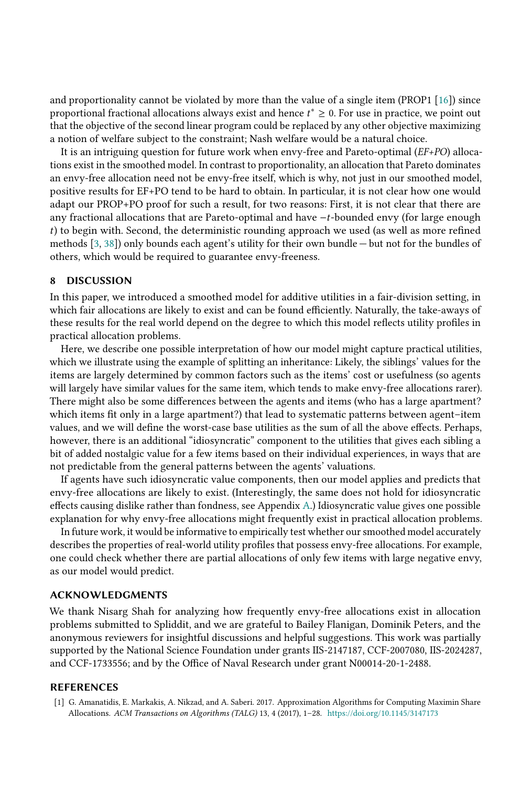and proportionality cannot be violated by more than the value of a single item (PROP1 [\[16\]](#page-17-23)) since proportional fractional allocations always exist and hence  $t^* \geq 0$ . For use in practice, we point out that the objective of the second linear program could be replaced by any other objective maximizing that the objective of the second linear program could be replaced by any other objective maximizing a notion of welfare subject to the constraint; Nash welfare would be a natural choice.

It is an intriguing question for future work when envy-free and Pareto-optimal (EF+PO) allocations exist in the smoothed model. In contrast to proportionality, an allocation that Pareto dominates an envy-free allocation need not be envy-free itself, which is why, not just in our smoothed model, positive results for EF+PO tend to be hard to obtain. In particular, it is not clear how one would adapt our PROP+PO proof for such a result, for two reasons: First, it is not clear that there are any fractional allocations that are Pareto-optimal and have <sup>−</sup>t-bounded envy (for large enough t) to begin with. Second, the deterministic rounding approach we used (as well as more refined methods [\[3,](#page-17-24) [38\]](#page-18-14)) only bounds each agent's utility for their own bundle — but not for the bundles of others, which would be required to guarantee envy-freeness.

#### 8 DISCUSSION

In this paper, we introduced a smoothed model for additive utilities in a fair-division setting, in which fair allocations are likely to exist and can be found efficiently. Naturally, the take-aways of these results for the real world depend on the degree to which this model reflects utility profiles in practical allocation problems.

Here, we describe one possible interpretation of how our model might capture practical utilities, which we illustrate using the example of splitting an inheritance: Likely, the siblings' values for the items are largely determined by common factors such as the items' cost or usefulness (so agents will largely have similar values for the same item, which tends to make envy-free allocations rarer). There might also be some differences between the agents and items (who has a large apartment? which items fit only in a large apartment?) that lead to systematic patterns between agent–item values, and we will define the worst-case base utilities as the sum of all the above effects. Perhaps, however, there is an additional "idiosyncratic" component to the utilities that gives each sibling a bit of added nostalgic value for a few items based on their individual experiences, in ways that are not predictable from the general patterns between the agents' valuations.

If agents have such idiosyncratic value components, then our model applies and predicts that envy-free allocations are likely to exist. (Interestingly, the same does not hold for idiosyncratic effects causing dislike rather than fondness, see Appendix [A.](#page-19-0)) Idiosyncratic value gives one possible explanation for why envy-free allocations might frequently exist in practical allocation problems.

In future work, it would be informative to empirically test whether our smoothed model accurately describes the properties of real-world utility profiles that possess envy-free allocations. For example, one could check whether there are partial allocations of only few items with large negative envy, as our model would predict.

#### ACKNOWLEDGMENTS

We thank Nisarg Shah for analyzing how frequently envy-free allocations exist in allocation problems submitted to Spliddit, and we are grateful to Bailey Flanigan, Dominik Peters, and the anonymous reviewers for insightful discussions and helpful suggestions. This work was partially supported by the National Science Foundation under grants IIS-2147187, CCF-2007080, IIS-2024287, and CCF-1733556; and by the Office of Naval Research under grant N00014-20-1-2488.

#### REFERENCES

<span id="page-16-0"></span>[1] G. Amanatidis, E. Markakis, A. Nikzad, and A. Saberi. 2017. Approximation Algorithms for Computing Maximin Share Allocations. ACM Transactions on Algorithms (TALG) 13, 4 (2017), 1–28. <https://doi.org/10.1145/3147173>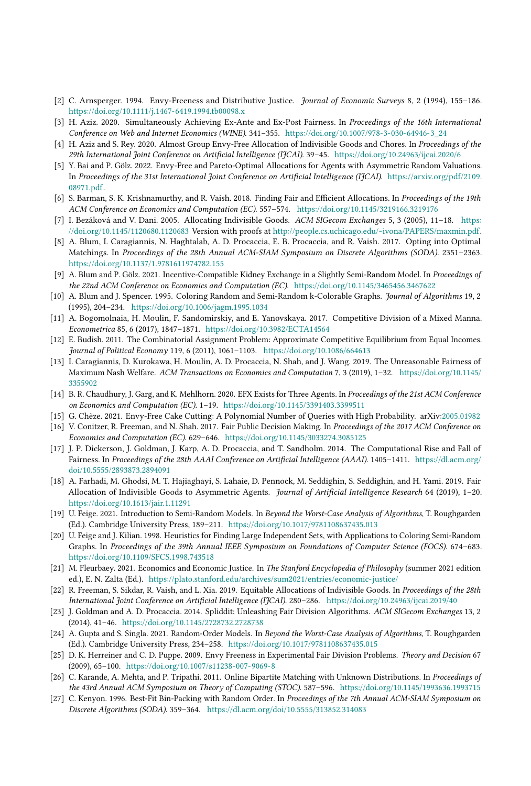- <span id="page-17-2"></span>[2] C. Arnsperger. 1994. Envy-Freeness and Distributive Justice. Journal of Economic Surveys 8, 2 (1994), 155–186. <https://doi.org/10.1111/j.1467-6419.1994.tb00098.x>
- <span id="page-17-24"></span>[3] H. Aziz. 2020. Simultaneously Achieving Ex-Ante and Ex-Post Fairness. In Proceedings of the 16th International Conference on Web and Internet Economics (WINE). 341–355. [https://doi.org/10.1007/978-3-030-64946-3\\_24](https://doi.org/10.1007/978-3-030-64946-3_24)
- <span id="page-17-0"></span>[4] H. Aziz and S. Rey. 2020. Almost Group Envy-Free Allocation of Indivisible Goods and Chores. In Proceedings of the 29th International Joint Conference on Artificial Intelligence (IJCAI). 39–45. <https://doi.org/10.24963/ijcai.2020/6>
- <span id="page-17-11"></span>[5] Y. Bai and P. Gölz. 2022. Envy-Free and Pareto-Optimal Allocations for Agents with Asymmetric Random Valuations. In Proceedings of the 31st International Joint Conference on Artificial Intelligence (IJCAI). [https://arxiv.org/pdf/2109.](https://arxiv.org/pdf/2109.08971.pdf) [08971.pdf.](https://arxiv.org/pdf/2109.08971.pdf)
- <span id="page-17-6"></span>[6] S. Barman, S. K. Krishnamurthy, and R. Vaish. 2018. Finding Fair and Efficient Allocations. In Proceedings of the 19th ACM Conference on Economics and Computation (EC). 557–574. <https://doi.org/10.1145/3219166.3219176>
- <span id="page-17-22"></span>[7] I. Bezáková and V. Dani. 2005. Allocating Indivisible Goods. ACM SIGecom Exchanges 5, 3 (2005), 11–18. [https:](https://doi.org/10.1145/1120680.1120683) [//doi.org/10.1145/1120680.1120683](https://doi.org/10.1145/1120680.1120683) Version with proofs at [http://people.cs.uchicago.edu/~ivona/PAPERS/maxmin.pdf.](http://people.cs.uchicago.edu/~ivona/PAPERS/maxmin.pdf)
- <span id="page-17-19"></span>[8] A. Blum, I. Caragiannis, N. Haghtalab, A. D. Procaccia, E. B. Procaccia, and R. Vaish. 2017. Opting into Optimal Matchings. In Proceedings of the 28th Annual ACM-SIAM Symposium on Discrete Algorithms (SODA). 2351–2363. <https://doi.org/10.1137/1.9781611974782.155>
- <span id="page-17-20"></span>[9] A. Blum and P. Gölz. 2021. Incentive-Compatible Kidney Exchange in a Slightly Semi-Random Model. In Proceedings of the 22nd ACM Conference on Economics and Computation (EC). <https://doi.org/10.1145/3465456.3467622>
- <span id="page-17-13"></span>[10] A. Blum and J. Spencer. 1995. Coloring Random and Semi-Random k-Colorable Graphs. Journal of Algorithms 19, 2 (1995), 204–234. <https://doi.org/10.1006/jagm.1995.1034>
- <span id="page-17-25"></span>[11] A. Bogomolnaia, H. Moulin, F. Sandomirskiy, and E. Yanovskaya. 2017. Competitive Division of a Mixed Manna. Econometrica 85, 6 (2017), 1847–1871. <https://doi.org/10.3982/ECTA14564>
- <span id="page-17-4"></span>[12] E. Budish. 2011. The Combinatorial Assignment Problem: Approximate Competitive Equilibrium from Equal Incomes. Journal of Political Economy 119, 6 (2011), 1061–1103. <https://doi.org/10.1086/664613>
- <span id="page-17-7"></span>[13] I. Caragiannis, D. Kurokawa, H. Moulin, A. D. Procaccia, N. Shah, and J. Wang. 2019. The Unreasonable Fairness of Maximum Nash Welfare. ACM Transactions on Economics and Computation 7, 3 (2019), 1–32. [https://doi.org/10.1145/](https://doi.org/10.1145/3355902) [3355902](https://doi.org/10.1145/3355902)
- <span id="page-17-8"></span>[14] B. R. Chaudhury, J. Garg, and K. Mehlhorn. 2020. EFX Exists for Three Agents. In Proceedings of the 21st ACM Conference on Economics and Computation (EC). 1–19. <https://doi.org/10.1145/3391403.3399511>
- <span id="page-17-21"></span>[15] G. Chèze. 2021. Envy-Free Cake Cutting: A Polynomial Number of Queries with High Probability. arXiv[:2005.01982](http://arxiv.org/abs/2005.01982)
- <span id="page-17-23"></span>[16] V. Conitzer, R. Freeman, and N. Shah. 2017. Fair Public Decision Making. In Proceedings of the 2017 ACM Conference on Economics and Computation (EC). 629–646. <https://doi.org/10.1145/3033274.3085125>
- <span id="page-17-10"></span>[17] J. P. Dickerson, J. Goldman, J. Karp, A. D. Procaccia, and T. Sandholm. 2014. The Computational Rise and Fall of Fairness. In Proceedings of the 28th AAAI Conference on Artificial Intelligence (AAAI). 1405–1411. [https://dl.acm.org/](https://dl.acm.org/doi/10.5555/2893873.2894091) [doi/10.5555/2893873.2894091](https://dl.acm.org/doi/10.5555/2893873.2894091)
- <span id="page-17-12"></span>[18] A. Farhadi, M. Ghodsi, M. T. Hajiaghayi, S. Lahaie, D. Pennock, M. Seddighin, S. Seddighin, and H. Yami. 2019. Fair Allocation of Indivisible Goods to Asymmetric Agents. Journal of Artificial Intelligence Research 64 (2019), 1–20. <https://doi.org/10.1613/jair.1.11291>
- <span id="page-17-14"></span>[19] U. Feige. 2021. Introduction to Semi-Random Models. In Beyond the Worst-Case Analysis of Algorithms, T. Roughgarden (Ed.). Cambridge University Press, 189–211. <https://doi.org/10.1017/9781108637435.013>
- <span id="page-17-15"></span>[20] U. Feige and J. Kilian. 1998. Heuristics for Finding Large Independent Sets, with Applications to Coloring Semi-Random Graphs. In Proceedings of the 39th Annual IEEE Symposium on Foundations of Computer Science (FOCS). 674–683. <https://doi.org/10.1109/SFCS.1998.743518>
- <span id="page-17-3"></span>[21] M. Fleurbaey. 2021. Economics and Economic Justice. In The Stanford Encyclopedia of Philosophy (summer 2021 edition ed.), E. N. Zalta (Ed.). <https://plato.stanford.edu/archives/sum2021/entries/economic-justice/>
- <span id="page-17-1"></span>[22] R. Freeman, S. Sikdar, R. Vaish, and L. Xia. 2019. Equitable Allocations of Indivisible Goods. In Proceedings of the 28th International Joint Conference on Artificial Intelligence (IJCAI). 280–286. <https://doi.org/10.24963/ijcai.2019/40>
- <span id="page-17-9"></span>[23] J. Goldman and A. D. Procaccia. 2014. Spliddit: Unleashing Fair Division Algorithms. ACM SIGecom Exchanges 13, 2 (2014), 41–46. <https://doi.org/10.1145/2728732.2728738>
- <span id="page-17-16"></span>[24] A. Gupta and S. Singla. 2021. Random-Order Models. In Beyond the Worst-Case Analysis of Algorithms, T. Roughgarden (Ed.). Cambridge University Press, 234–258. <https://doi.org/10.1017/9781108637435.015>
- <span id="page-17-5"></span>[25] D. K. Herreiner and C. D. Puppe. 2009. Envy Freeness in Experimental Fair Division Problems. Theory and Decision 67 (2009), 65–100. <https://doi.org/10.1007/s11238-007-9069-8>
- <span id="page-17-17"></span>[26] C. Karande, A. Mehta, and P. Tripathi. 2011. Online Bipartite Matching with Unknown Distributions. In Proceedings of the 43rd Annual ACM Symposium on Theory of Computing (STOC). 587–596. <https://doi.org/10.1145/1993636.1993715>
- <span id="page-17-18"></span>[27] C. Kenyon. 1996. Best-Fit Bin-Packing with Random Order. In Proceedings of the 7th Annual ACM-SIAM Symposium on Discrete Algorithms (SODA). 359–364. <https://dl.acm.org/doi/10.5555/313852.314083>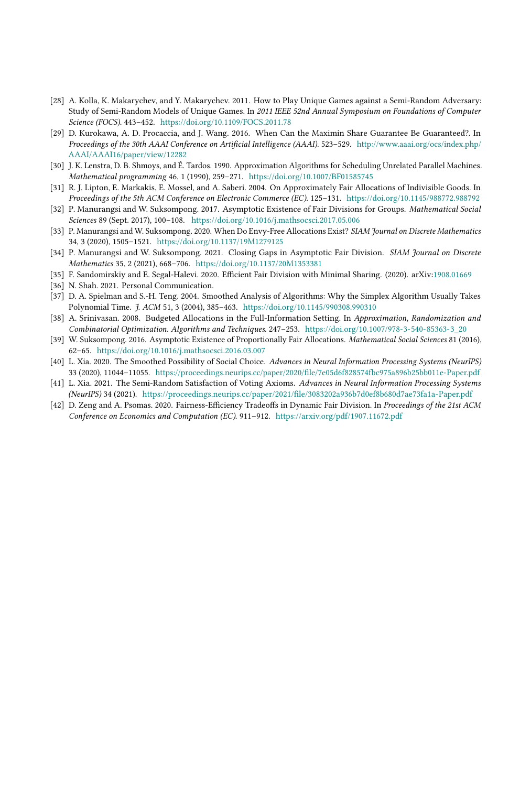- <span id="page-18-8"></span>[28] A. Kolla, K. Makarychev, and Y. Makarychev. 2011. How to Play Unique Games against a Semi-Random Adversary: Study of Semi-Random Models of Unique Games. In 2011 IEEE 52nd Annual Symposium on Foundations of Computer Science (FOCS). 443–452. <https://doi.org/10.1109/FOCS.2011.78>
- <span id="page-18-4"></span>[29] D. Kurokawa, A. D. Procaccia, and J. Wang. 2016. When Can the Maximin Share Guarantee Be Guaranteed?. In Proceedings of the 30th AAAI Conference on Artificial Intelligence (AAAI). 523–529. [http://www.aaai.org/ocs/index.php/](http://www.aaai.org/ocs/index.php/AAAI/AAAI16/paper/view/12282) [AAAI/AAAI16/paper/view/12282](http://www.aaai.org/ocs/index.php/AAAI/AAAI16/paper/view/12282)
- <span id="page-18-12"></span>[30] J. K. Lenstra, D. B. Shmoys, and É. Tardos. 1990. Approximation Algorithms for Scheduling Unrelated Parallel Machines. Mathematical programming 46, 1 (1990), 259–271. <https://doi.org/10.1007/BF01585745>
- <span id="page-18-0"></span>[31] R. J. Lipton, E. Markakis, E. Mossel, and A. Saberi. 2004. On Approximately Fair Allocations of Indivisible Goods. In Proceedings of the 5th ACM Conference on Electronic Commerce (EC). 125–131. <https://doi.org/10.1145/988772.988792>
- <span id="page-18-5"></span>[32] P. Manurangsi and W. Suksompong. 2017. Asymptotic Existence of Fair Divisions for Groups. Mathematical Social Sciences 89 (Sept. 2017), 100–108. <https://doi.org/10.1016/j.mathsocsci.2017.05.006>
- <span id="page-18-2"></span>[33] P. Manurangsi and W. Suksompong. 2020. When Do Envy-Free Allocations Exist? SIAM Journal on Discrete Mathematics 34, 3 (2020), 1505–1521. <https://doi.org/10.1137/19M1279125>
- <span id="page-18-3"></span>[34] P. Manurangsi and W. Suksompong. 2021. Closing Gaps in Asymptotic Fair Division. SIAM Journal on Discrete Mathematics 35, 2 (2021), 668–706. <https://doi.org/10.1137/20M1353381>
- <span id="page-18-13"></span>[35] F. Sandomirskiy and E. Segal-Halevi. 2020. Efficient Fair Division with Minimal Sharing. (2020). arXiv[:1908.01669](http://arxiv.org/abs/1908.01669)
- <span id="page-18-1"></span>[36] N. Shah. 2021. Personal Communication.
- <span id="page-18-9"></span>[37] D. A. Spielman and S.-H. Teng. 2004. Smoothed Analysis of Algorithms: Why the Simplex Algorithm Usually Takes Polynomial Time. J. ACM 51, 3 (2004), 385–463. <https://doi.org/10.1145/990308.990310>
- <span id="page-18-14"></span>[38] A. Srinivasan. 2008. Budgeted Allocations in the Full-Information Setting. In Approximation, Randomization and Combinatorial Optimization. Algorithms and Techniques. 247–253. [https://doi.org/10.1007/978-3-540-85363-3\\_20](https://doi.org/10.1007/978-3-540-85363-3_20)
- <span id="page-18-6"></span>[39] W. Suksompong. 2016. Asymptotic Existence of Proportionally Fair Allocations. Mathematical Social Sciences 81 (2016), 62–65. <https://doi.org/10.1016/j.mathsocsci.2016.03.007>
- <span id="page-18-10"></span>[40] L. Xia. 2020. The Smoothed Possibility of Social Choice. Advances in Neural Information Processing Systems (NeurIPS) 33 (2020), 11044–11055. <https://proceedings.neurips.cc/paper/2020/file/7e05d6f828574fbc975a896b25bb011e-Paper.pdf>
- <span id="page-18-11"></span>[41] L. Xia. 2021. The Semi-Random Satisfaction of Voting Axioms. Advances in Neural Information Processing Systems (NeurIPS) 34 (2021). <https://proceedings.neurips.cc/paper/2021/file/3083202a936b7d0ef8b680d7ae73fa1a-Paper.pdf>
- <span id="page-18-7"></span>[42] D. Zeng and A. Psomas. 2020. Fairness-Efficiency Tradeoffs in Dynamic Fair Division. In Proceedings of the 21st ACM Conference on Economics and Computation (EC). 911–912. <https://arxiv.org/pdf/1907.11672.pdf>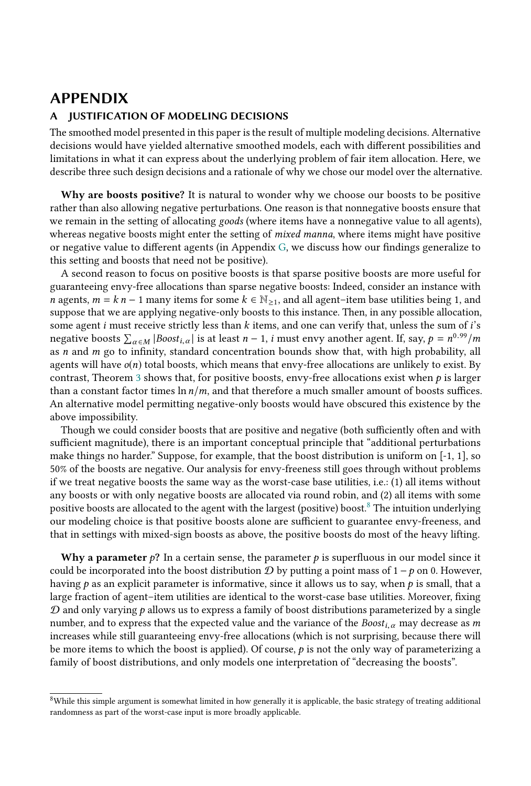### APPENDIX

#### <span id="page-19-0"></span>A JUSTIFICATION OF MODELING DECISIONS

The smoothed model presented in this paper is the result of multiple modeling decisions. Alternative decisions would have yielded alternative smoothed models, each with different possibilities and limitations in what it can express about the underlying problem of fair item allocation. Here, we describe three such design decisions and a rationale of why we chose our model over the alternative.

Why are boosts positive? It is natural to wonder why we choose our boosts to be positive rather than also allowing negative perturbations. One reason is that nonnegative boosts ensure that we remain in the setting of allocating goods (where items have a nonnegative value to all agents), whereas negative boosts might enter the setting of mixed manna, where items might have positive or negative value to different agents (in Appendix [G,](#page-27-0) we discuss how our findings generalize to this setting and boosts that need not be positive).

A second reason to focus on positive boosts is that sparse positive boosts are more useful for guaranteeing envy-free allocations than sparse negative boosts: Indeed, consider an instance with n agents,  $m = k n - 1$  many items for some  $k \in \mathbb{N}_{\ge 1}$ , and all agent–item base utilities being 1, and suppose that we are applying negative-only boosts to this instance. Then, in any possible allocation, some agent i must receive strictly less than  $k$  items, and one can verify that, unless the sum of  $i$ 's negative boosts  $\sum_{\alpha \in M} |Boost_{i,\alpha}|$  is at least  $n - 1$ , i must envy another agent. If, say,  $p = n^{0.99}/m$ as  $n$  and  $m$  go to infinity, standard concentration bounds show that, with high probability, all agents will have  $o(n)$  total boosts, which means that envy-free allocations are unlikely to exist. By contrast, Theorem [3](#page-3-1) shows that, for positive boosts, envy-free allocations exist when  $p$  is larger than a constant factor times  $\ln n/m$ , and that therefore a much smaller amount of boosts suffices. An alternative model permitting negative-only boosts would have obscured this existence by the above impossibility.

Though we could consider boosts that are positive and negative (both sufficiently often and with sufficient magnitude), there is an important conceptual principle that "additional perturbations make things no harder." Suppose, for example, that the boost distribution is uniform on [-1, 1], so 50% of the boosts are negative. Our analysis for envy-freeness still goes through without problems if we treat negative boosts the same way as the worst-case base utilities, i.e.: (1) all items without any boosts or with only negative boosts are allocated via round robin, and (2) all items with some positive boosts are allocated to the agent with the largest (positive) boost.<sup>[8](#page-19-1)</sup> The intuition underlying our modeling choice is that positive boosts alone are sufficient to guarantee envy-freeness, and that in settings with mixed-sign boosts as above, the positive boosts do most of the heavy lifting.

Why a parameter  $p$ ? In a certain sense, the parameter p is superfluous in our model since it could be incorporated into the boost distribution  $D$  by putting a point mass of 1 – p on 0. However, having  $p$  as an explicit parameter is informative, since it allows us to say, when  $p$  is small, that a large fraction of agent–item utilities are identical to the worst-case base utilities. Moreover, fixing  $D$  and only varying  $p$  allows us to express a family of boost distributions parameterized by a single number, and to express that the expected value and the variance of the  $Boost_{i,\alpha}$  may decrease as m increases while still guaranteeing envy-free allocations (which is not surprising, because there will be more items to which the boost is applied). Of course,  $p$  is not the only way of parameterizing a family of boost distributions, and only models one interpretation of "decreasing the boosts".

<span id="page-19-1"></span> $8$ While this simple argument is somewhat limited in how generally it is applicable, the basic strategy of treating additional randomness as part of the worst-case input is more broadly applicable.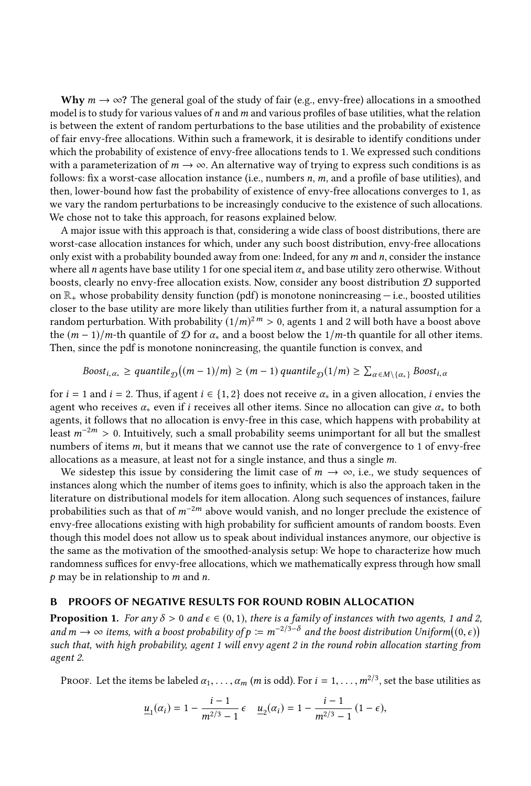Why  $m \to \infty$ ? The general goal of the study of fair (e.g., envy-free) allocations in a smoothed model is to study for various values of  $n$  and  $m$  and various profiles of base utilities, what the relation is between the extent of random perturbations to the base utilities and the probability of existence of fair envy-free allocations. Within such a framework, it is desirable to identify conditions under which the probability of existence of envy-free allocations tends to 1. We expressed such conditions with a parameterization of  $m \to \infty$ . An alternative way of trying to express such conditions is as follows: fix a worst-case allocation instance (i.e., numbers  $n$ ,  $m$ , and a profile of base utilities), and then, lower-bound how fast the probability of existence of envy-free allocations converges to 1, as we vary the random perturbations to be increasingly conducive to the existence of such allocations. We chose not to take this approach, for reasons explained below.

A major issue with this approach is that, considering a wide class of boost distributions, there are worst-case allocation instances for which, under any such boost distribution, envy-free allocations only exist with a probability bounded away from one: Indeed, for any  $m$  and  $n$ , consider the instance where all n agents have base utility 1 for one special item  $\alpha_*$  and base utility zero otherwise. Without boosts, clearly no envy-free allocation exists. Now, consider any boost distribution D supported on  $\mathbb{R}_+$  whose probability density function (pdf) is monotone nonincreasing  $-$  i.e., boosted utilities closer to the base utility are more likely than utilities further from it, a natural assumption for a random perturbation. With probability  $(1/m)^{2m} > 0$ , agents 1 and 2 will both have a boost above<br>the  $(m-1)/m$ -th quantile of  $\mathcal{D}$  for  $\alpha$ , and a boost below the  $1/m$ -th quantile for all other items the  $(m-1)/m$ -th quantile of  $\mathcal D$  for  $\alpha_*$  and a boost below the  $1/m$ -th quantile for all other items. Then, since the pdf is monotone nonincreasing, the quantile function is convex, and

$$
Boost_{i, \alpha_*} \ge \text{quantile}_{\mathcal{D}}((m-1)/m) \ge (m-1) \text{ quantile}_{\mathcal{D}}(1/m) \ge \sum_{\alpha \in M \setminus \{\alpha_*\}} Boost_{i, \alpha}
$$

for  $i = 1$  and  $i = 2$ . Thus, if agent  $i \in \{1, 2\}$  does not receive  $\alpha_*$  in a given allocation, i envies the agent who receives  $\alpha_*$  even if i receives all other items. Since no allocation can give  $\alpha_*$  to both agents, it follows that no allocation is envy-free in this case, which happens with probability at least  $m^{-2m} > 0$ . Intuitively, such a small probability seems unimportant for all but the smallest numbers of items m, but it means that we cannot use the rate of convergence to 1 of envy-free allocations as a measure, at least not for a single instance, and thus a single m.

We sidestep this issue by considering the limit case of  $m \to \infty$ , i.e., we study sequences of instances along which the number of items goes to infinity, which is also the approach taken in the literature on distributional models for item allocation. Along such sequences of instances, failure probabilities such as that of  $m^{-2m}$  above would vanish, and no longer preclude the existence of envy-free allocations existing with high probability for sufficient amounts of random boosts. Even though this model does not allow us to speak about individual instances anymore, our objective is the same as the motivation of the smoothed-analysis setup: We hope to characterize how much randomness suffices for envy-free allocations, which we mathematically express through how small  $p$  may be in relationship to  $m$  and  $n$ .

#### <span id="page-20-0"></span>B PROOFS OF NEGATIVE RESULTS FOR ROUND ROBIN ALLOCATION

**Proposition 1.** For any  $\delta > 0$  and  $\epsilon \in (0, 1)$ , there is a family of instances with two agents, 1 and 2, and  $m \to \infty$  items, with a boost probability of  $p := m^{-2/3-\delta}$  and the boost distribution Uniform((0, ∈))<br>such that with high probability agent 1 will envy agent 2 in the round robin allocation starting from such that, with high probability, agent 1 will envy agent 2 in the round robin allocation starting from agent 2.

Proof. Let the items be labeled  $\alpha_1, \ldots, \alpha_m$  (*m* is odd). For  $i = 1, \ldots, m^{2/3}$ , set the base utilities as

$$
\underline{u}_1(\alpha_i) = 1 - \frac{i-1}{m^{2/3} - 1} \epsilon \quad \underline{u}_2(\alpha_i) = 1 - \frac{i-1}{m^{2/3} - 1} (1 - \epsilon),
$$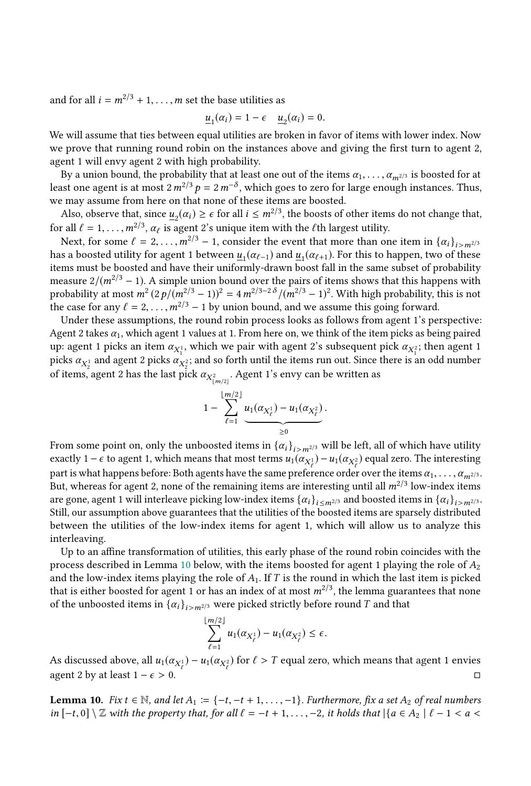and for all  $i = m^{2/3} + 1, \ldots, m$  set the base utilities as

$$
\underline{u}_1(\alpha_i) = 1 - \epsilon \quad \underline{u}_2(\alpha_i) = 0.
$$

 $\underline{u}_1(\alpha_i) = 1 - \epsilon \quad \underline{u}_2(\alpha_i) = 0.$ <br>We will assume that ties between equal utilities are broken in favor of items with lower index. Now we prove that running round robin on the instances above and giving the first turn to agent 2, agent 1 will envy agent 2 with high probability.

By a union bound, the probability that at least one out of the items  $\alpha_1, \ldots, \alpha_{m^{2/3}}$  is boosted for at least one agent is at most  $2m^{2/3}p = 2m^{-\delta}$ , which goes to zero for large enough instances. Thus, we may assume from here on that none of these items are boosted.

Also, observe that, since  $\underline{u}_2(\alpha_i) \geq \epsilon$  for all  $i \leq m^{2/3}$ , the boosts of other items do not change that, for all  $\ell = 1, \ldots, m^{2/3}, \alpha_{\ell}$  is agent 2's unique item with the  $\ell$ th largest utility.<br>Next, for some  $\ell = 2$   $m^{2/3} - 1$  consider the event that more than or

Next, for some  $\ell = 2, \ldots, m^{2/3} - 1$ , consider the event that more than one item in  $\{\alpha_i\}_{i>m^{2/3}}$ has a boosted utility for agent 1 between  $\underline{u}_1(\alpha_{\ell-1})$  and  $\underline{u}_1(\alpha_{\ell+1})$ . For this to happen, two of these<br>items must be boosted and have their uniformly-drawn boost fall in the same subset of probability items must be boosted and have their uniformly-drawn boost fall in the same subset of probability measure  $2/(m^{2/3} - 1)$ . A simple union bound over the pairs of items shows that this happens with probability at most  $m^2(2p/(m^2)^3 - 1)^2 = 4m^{2/3-2\delta}/(m^2)^3 - 1^2$ . With high probability, this is not the case for any  $\ell = 2$ ,  $m^2/3 - 1$  by union bound and we assume this going forward the case for any  $\ell = 2, \ldots, m^{2/3} - 1$  by union bound, and we assume this going forward.

Under these assumptions, the round robin process looks as follows from agent 1's perspective: Agent 2 takes  $\alpha_1$ , which agent 1 values at 1. From here on, we think of the item picks as being paired up: agent 1 picks an item  $\alpha_{X_1^1}$ , which we pair with agent 2's subsequent pick  $\alpha_{X_1^2}$ ; then agent 1 picks  $\alpha_{X_1}$  and so forth until the items run out. Since there is an odd number picks  $\alpha_{X_2}$  and agent 2 picks  $\alpha_{X_2}$ ; and so forth until the items run out. Since there is an odd number<br>of items agent 2 has the last pick  $\alpha_{X_2}$ . Agent 1's envy son be written as of items, agent 2 has the last pick  $\alpha_{X^2_{\lfloor m/2 \rfloor}}$ . Agent 1's envy can be written as

$$
1 - \sum_{\ell=1}^{\lfloor m/2 \rfloor} \underbrace{u_1(\alpha_{X^1_{\ell}}) - u_1(\alpha_{X^2_{\ell}})}_{\geq 0}.
$$

From some point on, only the unboosted items in  $\{\alpha_i\}_{i>m^{2/3}}$  will be left, all of which have utility exactly 1 –  $\epsilon$  to agent 1, which means that most terms  $u_1(\alpha_{X_\epsilon^1}) - u_1(\alpha_{X_\epsilon^2})$  equal zero. The interesting<br>part is what happens before. Both agents have the same professions and p such a series items  $\alpha$ part is what happens before: Both agents have the same preference order over the items  $\alpha_1, \ldots, \alpha_{m^{2/3}}$ .<br>But, whereas for agent 2, none of the remaining items are interesting until all  $m^{2/3}$  low-index items. But, whereas for agent 2, none of the remaining items are interesting until all  $m^{2/3}$  low-index items are gone agent 1 will interleave picking low-index items  $\{a_i\}$  and boosted items in  $\{a_i\}$ are gone, agent 1 will interleave picking low-index items  $\{\alpha_i\}_{i \le m^{2/3}}$  and boosted items in  $\{\alpha_i\}_{i>m^{2/3}}$ . Still, our assumption above guarantees that the utilities of the boosted items are sparsely distributed between the utilities of the low-index items for agent 1, which will allow us to analyze this interleaving.

Up to an affine transformation of utilities, this early phase of the round robin coincides with the process described in Lemma [10](#page-21-0) below, with the items boosted for agent 1 playing the role of  $A_2$ and the low-index items playing the role of  $A_1$ . If T is the round in which the last item is picked that is either boosted for agent 1 or has an index of at most  $m^{2/3}$ , the lemma guarantees that none<br>of the unboosted items in  $\{a_n\}$  are were picked strictly before round T and that of the unboosted items in  $\{\alpha_i\}_{i>m^{2/3}}$  were picked strictly before round T and that

$$
\sum_{\ell=1}^{\lfloor m/2 \rfloor} u_1(\alpha_{X_{\ell}^1}) - u_1(\alpha_{X_{\ell}^2}) \leq \epsilon.
$$

As discussed above, all  $u_1(\alpha_{X_\ell^1}) - u_1(\alpha_{X_\ell^2})$  for  $\ell > T$  equal zero, which means that agent 1 envies agent 2 by at least  $1 - \epsilon > 0$ . □

<span id="page-21-0"></span>**Lemma 10.** Fix  $t \in \mathbb{N}$ , and let  $A_1 := \{-t, -t + 1, \ldots, -1\}$ . Furthermore, fix a set  $A_2$  of real numbers in  $[-t, 0] \setminus \mathbb{Z}$  with the property that, for all  $\ell = -t + 1, \ldots, -2$ , it holds that  $|\{a \in A_2 \mid \ell - 1 < a < a\}|$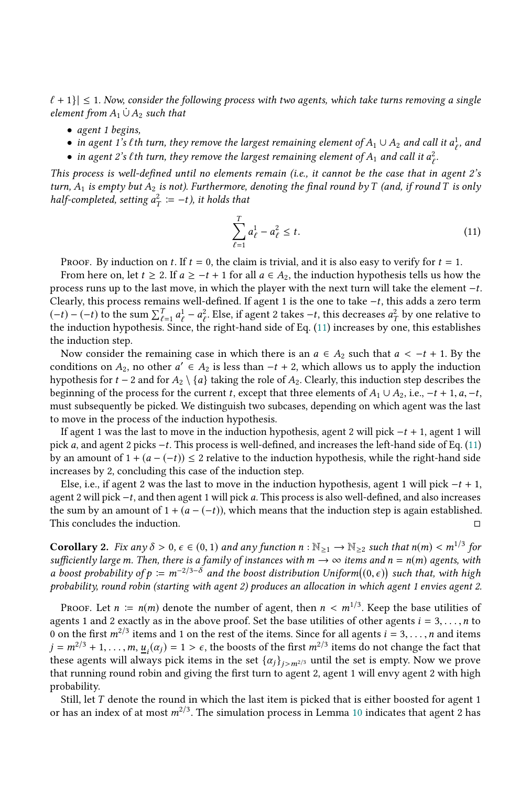$\ell + 1$   $\leq$  1. Now, consider the following process with two agents, which take turns removing a single element from  $A_1 \cup A_2$  such that

- agent 1 begins,
- in agent 1's *l*th turn, they remove the largest remaining element of  $A_1 \cup A_2$  and call it  $a_\ell^1$ , and
- in agent 2's *l* th turn, they remove the largest remaining element of  $A_1$  and call it  $a_\ell^2$ .

ℓ This process is well-defined until no elements remain (i.e., it cannot be the case that in agent 2's turn,  $A_1$  is empty but  $A_2$  is not). Furthermore, denoting the final round by T (and, if round T is only half-completed, setting  $a_T^2 := -t$ ), it holds that

<span id="page-22-0"></span>
$$
\sum_{\ell=1}^{I} a_{\ell}^{1} - a_{\ell}^{2} \leq t.
$$
\n(11)

PROOF. By induction on t. If  $t = 0$ , the claim is trivial, and it is also easy to verify for  $t = 1$ .

From here on, let  $t \geq 2$ . If  $a \geq -t + 1$  for all  $a \in A_2$ , the induction hypothesis tells us how the process runs up to the last move, in which the player with the next turn will take the element  $-t$ . Clearly, this process remains well-defined. If agent 1 is the one to take <sup>−</sup>t, this adds a zero term  $(-t) - (-t)$  to the sum  $\sum_{\ell=1}^{T} a_{\ell}^{1} - a_{\ell}^{2}$ . Else, if agent 2 takes  $-t$ , this decreases  $a_{T}^{2}$  by one relative to the induction by orthesis. Since the right-hand side of Eq. (11) increases by one this establish the induction hypothesis. Since, the right-hand side of Eq. [\(11\)](#page-22-0) increases by one, this establishes the induction step.

Now consider the remaining case in which there is an  $a \in A_2$  such that  $a < -t + 1$ . By the conditions on  $A_2$ , no other  $a' \in A_2$  is less than  $-t + 2$ , which allows us to apply the induction<br>by pothesis for  $t - 2$  and for  $A_2 \setminus \{a\}$  taking the role of  $A_2$ . Clearly, this induction step describes the hypothesis for  $t - 2$  and for  $A_2 \setminus \{a\}$  taking the role of  $A_2$ . Clearly, this induction step describes the beginning of the process for the current t, except that three elements of  $A_1 \cup A_2$ , i.e.,  $-t + 1$ ,  $a$ ,  $-t$ , must subsequently be picked. We distinguish two subcases, depending on which agent was the last to move in the process of the induction hypothesis.

If agent 1 was the last to move in the induction hypothesis, agent 2 will pick  $-t + 1$ , agent 1 will pick a, and agent 2 picks <sup>−</sup>t. This process is well-defined, and increases the left-hand side of Eq. [\(11\)](#page-22-0) by an amount of  $1 + (a - (-t)) \leq 2$  relative to the induction hypothesis, while the right-hand side increases by 2, concluding this case of the induction step.

Else, i.e., if agent 2 was the last to move in the induction hypothesis, agent 1 will pick  $-t + 1$ , agent 2 will pick <sup>−</sup>t, and then agent 1 will pick a. This process is also well-defined, and also increases the sum by an amount of 1 + ( $a - (-t)$ ), which means that the induction step is again established.<br>This concludes the induction.  $□$ This concludes the induction.

**Corollary 2.** Fix any  $\delta > 0$ ,  $\epsilon \in (0, 1)$  and any function  $n : \mathbb{N}_{\geq 1} \to \mathbb{N}_{\geq 2}$  such that  $n(m) < m^{1/3}$  for sufficiently large m. Then, there is a family of instances with  $m \to \infty$  items and  $n = n(m)$  agents, wi sufficiently large m. Then, there is a family of instances with  $m \to \infty$  items and  $n = n(m)$  agents, with a boost probability of  $p := m^{-2/3-\delta}$  and the boost distribution Uniform( $(0, \epsilon)$ ) such that, with high probability round robin (starting with agent 2) produces an allocation in which agent 1 envies agent 2 probability, round robin (starting with agent 2) produces an allocation in which agent 1 envies agent 2.

PROOF. Let  $n := n(m)$  denote the number of agent, then  $n < m^{1/3}$ . Keep the base utilities of other agents  $i = 3$  is not neglected. agents 1 and 2 exactly as in the above proof. Set the base utilities of other agents  $i = 3, \ldots, n$  to 0 on the first  $m^{2/3}$  items and 1 on the rest of the items. Since for all agents  $i = 3, ..., n$  and items  $i = m^{2/3} + 1$  m  $\cdots$   $(n, j) = 1$  is the boosts of the first  $m^{2/3}$  items do not change the fact that  $j = m^{2/3} + 1, \ldots, m, \underline{u}_i(\alpha_j) = 1 > \epsilon$ , the boosts of the first  $m^{2/3}$  items do not change the fact that these agents will always pick items in the set  $\{\alpha_i\}$ ,  $\alpha_i$  until the set is empty. Now we prove these agents will always pick items in the set  $\{\alpha_j\}_{j>m^{2/3}}$  until the set is empty. Now we prove that running round robin and giving the first turn to agent 2, agent 1 will envy agent 2 with high probability.

Still, let T denote the round in which the last item is picked that is either boosted for agent 1 or has an index of at most  $m^{2/3}$ . The simulation process in Lemma [10](#page-21-0) indicates that agent 2 has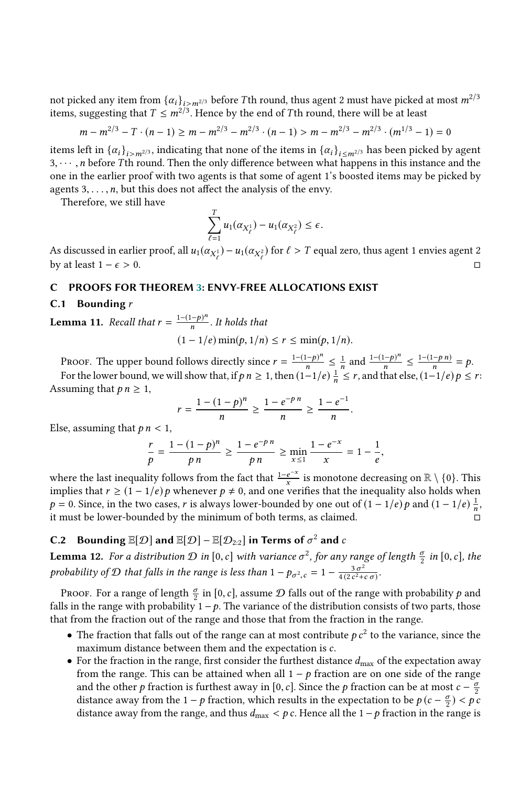not picked any item from  $\{\alpha_i\}_{i>m^{2/3}}$  before Tth round, thus agent 2 must have picked at most  $m^{2/3}$ items, suggesting that  $T \n\t\leq m^{2/3}$ . Hence by the end of Tth round, there will be at least

$$
m - m^{2/3} - T \cdot (n - 1) \ge m - m^{2/3} - m^{2/3} \cdot (n - 1) > m - m^{2/3} - m^{2/3} \cdot (m^{1/3} - 1) = 0
$$

items left in  $\{\alpha_i\}_{i>m^{2/3}}$ , indicating that none of the items in  $\{\alpha_i\}_{i \leq m^{2/3}}$  has been picked by agent  $\alpha$ ,  $\alpha$ ,  $\alpha$  hefore *T*th round. Then the only difference between what happens in this instance and the  $3, \dots, n$  before Tth round. Then the only difference between what happens in this instance and the one in the earlier proof with two agents is that some of agent 1's boosted items may be picked by agents  $3, \ldots, n$ , but this does not affect the analysis of the envy.

Therefore, we still have

$$
\sum_{\ell=1}^T u_1(\alpha_{X_\ell^1}) - u_1(\alpha_{X_\ell^2}) \le \epsilon.
$$

As discussed in earlier proof, all  $u_1(\alpha_{X_\ell^1}) - u_1(\alpha_{X_\ell^2})$  for  $\ell > T$  equal zero, thus agent 1 envies agent 2 by at least  $1 - \epsilon > 0$ . □

#### <span id="page-23-1"></span>C PROOFS FOR THEOREM [3:](#page-3-1) ENVY-FREE ALLOCATIONS EXIST

## **C.1** Bounding  $r$

<span id="page-23-0"></span>**Lemma 11.** Recall that  $r = \frac{1-(1-p)^n}{n}$ . It holds that

$$
(1-1/e)\min(p,1/n) \le r \le \min(p,1/n).
$$

PROOF. The upper bound follows directly since  $r = \frac{1-(1-p)^n}{n}$ n  $\leq \frac{1}{n}$ n and  $\frac{1-(1-p)^n}{n}$ n  $\leq \frac{1-(1-p\ n)}{n}$  $\frac{-p n}{n} = p.$ For the lower bound, we will show that, if  $p n \ge 1$ , then  $\left(1-1/e\right) \frac{1}{n} \le r$ , and that else,  $\left(1-1/e\right) p \le r$ : Assuming that  $p n \geq 1$ ,

$$
r = \frac{1 - (1 - p)^n}{n} \ge \frac{1 - e^{-p n}}{n} \ge \frac{1 - e^{-1}}{n}
$$

Else, assuming that  $p n < 1$ ,

$$
\frac{r}{p} = \frac{1 - (1 - p)^n}{p \, n} \ge \frac{1 - e^{-p \, n}}{p \, n} \ge \min_{x \le 1} \frac{1 - e^{-x}}{x} = 1 - \frac{1}{e},
$$

where the last inequality follows from the fact that  $\frac{1-e^{-x}}{x}$  is monotone decreasing on  $\mathbb{R}\setminus\{0\}$ . This implies that  $r \geq (1 - 1/e) p$  whenever  $p \neq 0$ , and one verifies that the inequality also holds when  $p = 0$ . Since in the two cases r is always lower-bounded by one out of  $(1 - 1/e) p$  and  $(1 - 1/e) \pm 1$ p = 0. Since, in the two cases, r is always lower-bounded by one out of  $(1 - 1/e)p$  and  $(1 - 1/e)\frac{1}{n}$ , it must be lower-bounded by the minimum of both terms, as claimed n it must be lower-bounded by the minimum of both terms, as claimed.

# **C.2** Bounding  $\mathbb{E}[\mathcal{D}]$  and  $\mathbb{E}[\mathcal{D}] - \mathbb{E}[\mathcal{D}_{2:2}]$  in Terms of  $\sigma^2$  and c

<span id="page-23-2"></span>**Lemma 12.** For a distribution  $\mathcal{D}$  in  $[0, c]$  with variance  $\sigma^2$ , for any range of length  $\frac{\sigma}{2}$  in  $[0, c]$ , the probability of D that falls in the range is less than  $1 - p_{\sigma^2,c} = 1 - \frac{3\sigma^2}{4(2c^2 + b^2)}$  $\frac{3\,\sigma^2}{4\,(2\,c^2+c\,\sigma)}$ 

PROOF. For a range of length  $\frac{\sigma}{2}$  in [0, c], assume  $\mathcal D$  falls out of the range with probability  $p$  and le in the range with probability  $1 - p$ . The variance of the distribution consists of two parts, those falls in the range with probability  $1 - p$ . The variance of the distribution consists of two parts, those that from the fraction out of the range and those that from the fraction in the range.

- The fraction that falls out of the range can at most contribute  $p c<sup>2</sup>$  to the variance, since the maximum distance between them and the expectation is c maximum distance between them and the expectation is c.
- For the fraction in the range, first consider the furthest distance  $d_{\text{max}}$  of the expectation away from the range. This can be attained when all  $1 - p$  fraction are on one side of the range and the other p fraction is furthest away in [0, c]. Since the p fraction can be at most  $c - \frac{\sigma}{2}$ <br>distance away from the 1 – p fraction, which results in the expectation to be  $p(c - \frac{\sigma}{2}) < p(c - \frac{\sigma}{2})$ distance away from the 1 − p fraction, which results in the expectation to be  $p$  (c –  $\frac{\sigma}{2}$ ) < p c<br>distance away from the range and thus d<br> $\sigma$  for Hence all the 1 – p fraction in the range is distance away from the range, and thus  $d_{\text{max}} < p c$ . Hence all the  $1 - p$  fraction in the range is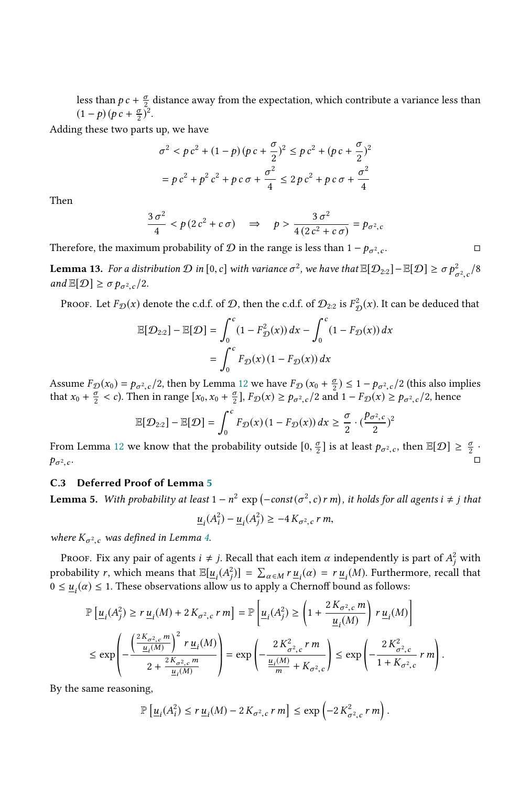less than  $p c + \frac{\sigma}{2}$  distance away from the expectation, which contribute a variance less than  $(1-p)(p c + \frac{\sigma}{2})^2$ .

Adding these two parts up, we have

$$
\sigma^2 < p c^2 + (1 - p)(p c + \frac{\sigma}{2})^2 \le p c^2 + (p c + \frac{\sigma}{2})^2
$$
\n
$$
= p c^2 + p^2 c^2 + p c \sigma + \frac{\sigma^2}{4} \le 2 p c^2 + p c \sigma + \frac{\sigma^2}{4}
$$

Then

$$
\frac{3\sigma^2}{4} < p(2c^2 + c\,\sigma) \quad \Rightarrow \quad p > \frac{3\,\sigma^2}{4\,(2\,c^2 + c\,\sigma)} = p_{\sigma^2,c}
$$

Therefore, the maximum probability of  $\mathcal D$  in the range is less than  $1 - p_{\sigma^2}$  $\cdot$   $\cdot$ . □

<span id="page-24-0"></span>**Lemma 13.** For a distribution  $\mathcal{D}$  in  $[0, c]$  with variance  $\sigma^2$ , we have that  $\mathbb{E}[\mathcal{D}_{2:2}] - \mathbb{E}[\mathcal{D}] \ge \sigma p_{\sigma^2,c}^2/8$  $\cdot$ <sup>-</sup> and  $\mathbb{E}[\mathcal{D}] \ge \sigma p_{\sigma^2,c}/2$ .

Proof. Let  $F_{\mathcal{D}}(x)$  denote the c.d.f. of  $\mathcal{D}$ , then the c.d.f. of  $\mathcal{D}_{2:2}$  is  $F^2_{\mathcal{I}}$  $\mathcal{L}^2_{\mathcal{D}}(x)$ . It can be deduced that

$$
\mathbb{E}[\mathcal{D}_{2:2}] - \mathbb{E}[\mathcal{D}] = \int_0^c (1 - F_{\mathcal{D}}^2(x)) dx - \int_0^c (1 - F_{\mathcal{D}}(x)) dx
$$

$$
= \int_0^c F_{\mathcal{D}}(x) (1 - F_{\mathcal{D}}(x)) dx
$$

Assume  $F_{\mathcal{D}}(x_0) = p_{\sigma^2,c}/2$ , then by Lemma [12](#page-23-2) we have  $F_{\mathcal{D}}(x_0 + \frac{\sigma}{2}) \le 1 - p_{\sigma^2,c}/2$  (this also implies that  $x_0 + \frac{\sigma}{2} < c$ ). Then in range  $[x_0, x_0 + \frac{\sigma}{2}]$ ,  $F_{\mathcal{D}}(x) > p_{\sigma^2,c}/2$  and  $1 - F_{\mathcal{D}}(x) > p_{\sigma^2,c$ that  $x_0 + \frac{\sigma}{2} < c$ ). Then in range  $[x_0, x_0 + \frac{\sigma}{2}]$ ,  $F_{\mathcal{D}}(x) \ge p_{\sigma^2, c}/2$  and  $1 - F_{\mathcal{D}}(x) \ge p_{\sigma^2, c}/2$ , hence

$$
\mathbb{E}[\mathcal{D}_{2:2}] - \mathbb{E}[\mathcal{D}] = \int_0^c F_{\mathcal{D}}(x) (1 - F_{\mathcal{D}}(x)) dx \geq \frac{\sigma}{2} \cdot (\frac{p_{\sigma^2,c}}{2})^2
$$

From Lemma [12](#page-23-2) we know that the probability outside  $[0, \frac{\sigma}{2}]$  is at least  $p_{\sigma^2,c}$ , then  $\mathbb{E}[\mathcal{D}] \geq \frac{\sigma}{2}$ .  $p_{\sigma^2}$  $\tilde{c}$ . □

#### <span id="page-24-1"></span>C.3 Deferred Proof of Lemma [5](#page-10-2)

**Lemma 5.** With probability at least  $1 - n^2 \exp(-\text{const}(\sigma^2, c) r m)$ , it holds for all agents  $i \neq j$  that

$$
\underline{u}_i(A_i^2) - \underline{u}_i(A_j^2) \ge -4 K_{\sigma^2,c} r m,
$$

where  $K_{\sigma^2,c}$  was defined in Lemma [4.](#page-7-4)

PROOF. Fix any pair of agents  $i \neq j$ . Recall that each item  $\alpha$  independently is part of  $A_j^2$  with probability r, which means that  $\mathbb{E}[\underline{u}_i(A_i^2)] = \sum_{\alpha \in M} r \underline{u}_i(\alpha) = r \underline{u}_i(M)$ . Furthermore, recall that  $0 \le u(\alpha) \le 1$ . These observations allow us to apply a Chernoff bound as follows:  $0 \le \underline{u}_i(\alpha) \le 1$ . These observations allow us to apply a Chernoff bound as follows:

$$
\mathbb{P}\left[\underline{u}_{i}(A_{j}^{2}) \ge r \underline{u}_{i}(M) + 2K_{\sigma^{2},c} r m\right] = \mathbb{P}\left[\underline{u}_{i}(A_{j}^{2}) \ge \left(1 + \frac{2K_{\sigma^{2},c} m}{\underline{u}_{i}(M)}\right) r \underline{u}_{i}(M)\right]
$$
\n
$$
\le \exp\left(-\frac{\left(\frac{2K_{\sigma^{2},c} m}{\underline{u}_{i}(M)}\right)^{2} r \underline{u}_{i}(M)}{2 + \frac{2K_{\sigma^{2},c} m}{\underline{u}_{i}(M)}}\right) = \exp\left(-\frac{2K_{\sigma^{2},c}^{2} r m}{\frac{\underline{u}_{i}(M)}{m} + K_{\sigma^{2},c}}\right) \le \exp\left(-\frac{2K_{\sigma^{2},c}^{2}}{1 + K_{\sigma^{2},c}} r m\right)
$$
\nand no solution.

By the same reasoning.

$$
\mathbb{P}\left[\underline{u}_i(A_i^2)\leq r \,\underline{u}_i(M)-2\,K_{\sigma^2,c}\,r\,m\right]\leq \exp\left(-2\,K_{\sigma^2,c}^2\,r\,m\right).
$$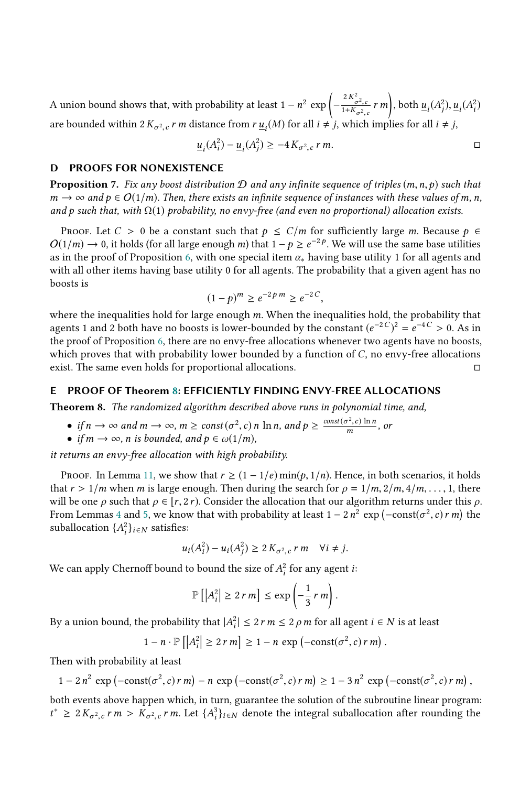A union bound shows that, with probability at least  $1 - n^2 \exp \left(-\frac{2K_{\sigma^2,c}^2}{1 + K_{\sigma^2,c}} r \, m\right)$ , both  $\underline{u}_i(A_j^2)$  $\frac{2}{j}$ ),  $\underline{u}_i(A_i^2)$ ) are bounded within  $2K_{\sigma^2,c}$  *r m* distance from  $r u_i(M)$  for all  $i \neq j$ , which implies for all  $i \neq j$ ,  $\ddot{\phantom{a}}$ 

$$
\underline{u}_i(A_i^2) - \underline{u}_i(A_j^2) \ge -4 K_{\sigma^2, c} r m.
$$

#### <span id="page-25-0"></span>D PROOFS FOR NONEXISTENCE

**Proposition** 7. Fix any boost distribution  $D$  and any infinite sequence of triples  $(m, n, p)$  such that  $m \to \infty$  and  $p \in O(1/m)$ . Then, there exists an infinite sequence of instances with these values of m, n, and p such that, with  $\Omega(1)$  probability, no envy-free (and even no proportional) allocation exists.

PROOF. Let  $C > 0$  be a constant such that  $p \le C/m$  for sufficiently large m. Because  $p \in$  $O(1/m) \to 0$ , it holds (for all large enough m) that  $1 - p \ge e^{-2p}$ . We will use the same base utilities as in the proof of Proposition [6,](#page-11-4) with one special item  $\alpha_*$  having base utility 1 for all agents and with all other items having base utility 0 for all agents. The probability that a given agent has no boosts is

$$
(1-p)^m \ge e^{-2p m} \ge e^{-2C},
$$

(1 − p)<sup>m</sup> ≥ e<sup>-2 p</sup><sup>m</sup> ≥ e<sup>-2 C</sup>,<br>where the inequalities hold for large enough m. When the inequalities hold, the probability that<br>agents 1 and 2 both have no boosts is lower-bounded by the constant (e<sup>-2 C</sup>)<sup>2</sup> – e<sup>-4 </sup> agents 1 and 2 both have no boosts is lower-bounded by the constant  $(e^{-2C})^2 = e^{-4C} > 0$ . As in the proof of Proposition [6,](#page-11-4) there are no envy-free allocations whenever two agents have no boosts, which proves that with probability lower bounded by a function of C, no envy-free allocations exist. The same even holds for proportional allocations. exist. The same even holds for proportional allocations.

#### <span id="page-25-1"></span>E PROOF OF Theorem [8:](#page-13-5) EFFICIENTLY FINDING ENVY-FREE ALLOCATIONS

Theorem 8. The randomized algorithm described above runs in polynomial time, and,

- if  $n \to \infty$  and  $m \to \infty$ ,  $m \ge const(\sigma^2, c)$  n ln n, and  $p \ge \frac{const(\sigma^2, c) \ln n}{m}$ , or
- if  $m \to \infty$ , n is bounded, and  $p \in \omega(1/m)$ ,

it returns an envy-free allocation with high probability.

Proof. In Lemma [11,](#page-23-0) we show that  $r \ge (1 - 1/e) \min(p, 1/n)$ . Hence, in both scenarios, it holds that  $r > 1/m$  when m is large enough. Then during the search for  $\rho = 1/m, 2/m, 4/m, \ldots, 1$ , there will be one  $\rho$  such that  $\rho \in [r, 2r)$ . Consider the allocation that our algorithm returns under this  $\rho$ . From Lemmas [4](#page-7-4) and [5,](#page-10-2) we know that with probability at least  $1 - 2n^2 \exp(-\text{const}(\sigma^2, c) r m)$  the<br>suballocation  $f_A^2$ ,  $\ldots$  satisfies. suballocation  $\{A_i^2\}_{i \in \mathbb{N}}$  satisfies:

$$
u_i(A_i^2) - u_i(A_j^2) \ge 2 K_{\sigma^2,c} r m \quad \forall i \neq j.
$$

We can apply Chernoff bound to bound the size of  $A_i^2$  for any agent *i*:

$$
\mathbb{P}\left[\left|A_i^2\right| \geq 2\,r\,m\right] \leq \exp\left(-\frac{1}{3}\,r\,m\right).
$$

By a union bound, the probability that  $|A_i^2| \le 2$  r  $m \le 2$   $\rho$  m for all agent  $i \in N$  is at least

j

$$
1 - n \cdot \mathbb{P}\left[\left|A_i^2\right| \ge 2\,r\,m\right] \ge 1 - n\,\exp\left(-\text{const}(\sigma^2, c)\,r\,m\right)
$$

Then with probability at least

$$
1-2 n^2 \exp(-\text{const}(\sigma^2, c) r m) - n \exp(-\text{const}(\sigma^2, c) r m) \ge 1-3 n^2 \exp(-\text{const}(\sigma^2, c) r m),
$$

both events above happen which, in turn, guarantee the solution of the subroutine linear program:  $t^*$  ≥ 2 $K_{\sigma^2,c}$  r  $m > K_{\sigma^2,c}$  r  $m$ . Let  $\{A_i^3\}_{i \in N}$  denote the integral suballocation after rounding the  $\tilde{c}$  $\tilde{c}$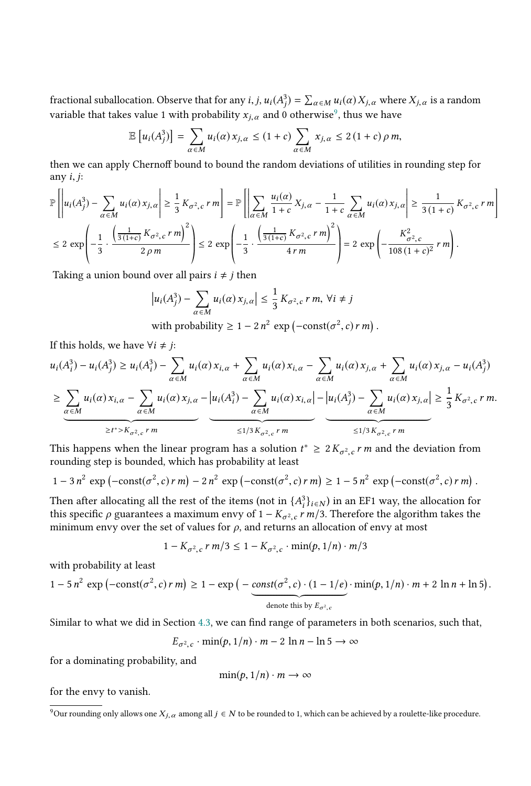fractional s[u](#page-26-0)ballocation. Observe that for any  $i, j, u_i(A_j^3) = \sum_{\alpha \in M} u_i(\alpha) X_{j,\alpha}$  where  $X_{j,\alpha}$  is a random variable that takes value 1 with probability  $x_{j,\alpha}$  and 0 otherwise<sup>9</sup>, thus we have

$$
\mathbb{E}\left[u_i(A_j^3)\right] = \sum_{\alpha \in M} u_i(\alpha) x_{j,\alpha} \le (1+c) \sum_{\alpha \in M} x_{j,\alpha} \le 2(1+c) \rho m,
$$

then we can apply Chernoff bound to bound the random deviations of utilities in rounding step for any  $i, j$ :

$$
\mathbb{P}\left[\left|u_i(A_j^3) - \sum_{\alpha \in M} u_i(\alpha)x_{j,\alpha}\right| \ge \frac{1}{3}K_{\sigma^2,c}r\,m\right] = \mathbb{P}\left[\left|\sum_{\alpha \in M} \frac{u_i(\alpha)}{1+c}X_{j,\alpha} - \frac{1}{1+c}\sum_{\alpha \in M} u_i(\alpha)x_{j,\alpha}\right| \ge \frac{1}{3(1+c)}K_{\sigma^2,c}r\,m\right]
$$
\n
$$
\le 2\,\exp\left(-\frac{1}{3}\cdot\frac{\left(\frac{1}{3(1+c)}K_{\sigma^2,c}r\,m\right)^2}{2\,\rho\,m}\right) \le 2\,\exp\left(-\frac{1}{3}\cdot\frac{\left(\frac{1}{3(1+c)}K_{\sigma^2,c}r\,m\right)^2}{4\,r\,m}\right) = 2\,\exp\left(-\frac{K_{\sigma^2,c}^2}{108(1+c)^2}\,r\,m\right).
$$

Taking a union bound over all pairs  $i \neq j$  then

$$
\left| u_i(A_j^3) - \sum_{\alpha \in M} u_i(\alpha) x_{j,\alpha} \right| \le \frac{1}{3} K_{\sigma^2,c} r \, m, \, \forall i \ne j
$$
  
with probability  $\ge 1 - 2n^2 \exp(-\text{const}(\sigma^2, c) r \, m).$ 

If this holds, we have  $\forall i \neq j$ :

$$
u_i(A_i^3) - u_i(A_j^3) \ge u_i(A_i^3) - \sum_{\alpha \in M} u_i(\alpha) x_{i,\alpha} + \sum_{\alpha \in M} u_i(\alpha) x_{i,\alpha} - \sum_{\alpha \in M} u_i(\alpha) x_{j,\alpha} + \sum_{\alpha \in M} u_i(\alpha) x_{j,\alpha} - u_i(A_j^3)
$$
  
\n
$$
\ge \underbrace{\sum_{\alpha \in M} u_i(\alpha) x_{i,\alpha} - \sum_{\alpha \in M} u_i(\alpha) x_{j,\alpha} - u_i(A_i^3)}_{\ge t^* > K_{\sigma^2,c} r^m} - \underbrace{u_i(A_i^3) - \sum_{\alpha \in M} u_i(\alpha) x_{i,\alpha}}_{\le 1/3 K_{\sigma^2,c} r^m} = \underbrace{\sum_{\alpha \in M} u_i(\alpha) x_{j,\alpha}}_{\le 1/3 K_{\sigma^2,c} r^m} \ge \underbrace{\sum_{\alpha \in M} u_i(\alpha) x_{j,\alpha}}_{\le 1/3 K_{\sigma^2,c} r^m} = \underbrace{\sum_{\alpha \in M} u_i(\alpha) x_{j,\alpha}}_{\le 1/3 K_{\sigma^2,c} r^m} = \underbrace{\sum_{\alpha \in M} u_i(\alpha) x_{j,\alpha}}_{\le 1/3 K_{\sigma^2,c} r^m} = \underbrace{\sum_{\alpha \in M} u_i(\alpha) x_{j,\alpha}}_{\le 1/3 K_{\sigma^2,c} r^m} = \underbrace{\sum_{\alpha \in M} u_i(\alpha) x_{j,\alpha} - u_i(A_i^3)}_{\le 1/3 K_{\sigma^2,c} r^m} = \underbrace{\sum_{\alpha \in M} u_i(\alpha) x_{j,\alpha} - u_i(A_i^3)}_{\le 1/3 K_{\sigma^2,c} r^m} = \underbrace{\sum_{\alpha \in M} u_i(\alpha) x_{j,\alpha} - u_i(A_i^3)}_{\le 1/3 K_{\sigma^2,c} r^m} = \underbrace{\sum_{\alpha \in M} u_i(\alpha) x_{j,\alpha} - u_i(A_i^3)}_{\le 1/3 K_{\sigma^2,c} r^m} = \underbrace{\sum_{\alpha \in M} u_i(\alpha) x_{j,\alpha} - u_i(A_i^3)}_{\le 1/3 K_{\sigma^2,c} r^m} = \underbrace{\sum_{\alpha \in M} u_i(\alpha) x_{j,\alpha} - u_i(A_i^3)}_{\le 1
$$

This happens when the linear program has a solution  $t^* \geq 2K_{\sigma^2,c}r m$  and the deviation from rounding step is bounded which has probability at least  $\cdot$   $\overline{\phantom{a}}$ rounding step is bounded, which has probability at least

$$
1-3 n2 \exp(-\text{const}(\sigma^2, c) r m) - 2 n2 \exp(-\text{const}(\sigma^2, c) r m) \ge 1-5 n2 \exp(-\text{const}(\sigma^2, c) r m).
$$

Then after allocating all the rest of the items (not in  $\{A_j^3\}_{i \in N}$ ) in an EF1 way, the allocation for this specific a quarantees a maximum envy of  $1 - K_{\text{max}} m/3$ . Therefore the algorithm takes the this specific  $\rho$  guarantees a maximum envy of  $1 - K_{\sigma^2,c} r m/3$ . Therefore the algorithm takes the minimum envy over the set of values for a and returns an allocation of envy at most minimum envy over the set of values for  $\rho$ , and returns an allocation of envy at most

$$
1 - K_{\sigma^2, c} \, r \, m/3 \le 1 - K_{\sigma^2, c} \cdot \min(p, 1/n) \cdot m/3
$$

with probability at least

$$
1 - 5 n^2 \exp(-\text{const}(\sigma^2, c) r m) \ge 1 - \exp\left(-\frac{\text{const}(\sigma^2, c) \cdot (1 - 1/e)}{\text{denote this by } E_{\sigma^2, c}} \cdot \min(p, 1/n) \cdot m + 2 \ln n + \ln 5\right).
$$

 $\cdot$  .

Similar to what we did in Section [4.3,](#page-10-1) we can find range of parameters in both scenarios, such that,

$$
E_{\sigma^2,c} \cdot \min(p,1/n) \cdot m - 2 \ln n - \ln 5 \to \infty
$$

for a dominating probability, and

$$
\min(p, 1/n) \cdot m \to \infty
$$

for the envy to vanish.

<span id="page-26-0"></span><sup>&</sup>lt;sup>9</sup>Our rounding only allows one  $X_{j,\alpha}$  among all  $j \in N$  to be rounded to 1, which can be achieved by a roulette-like procedure.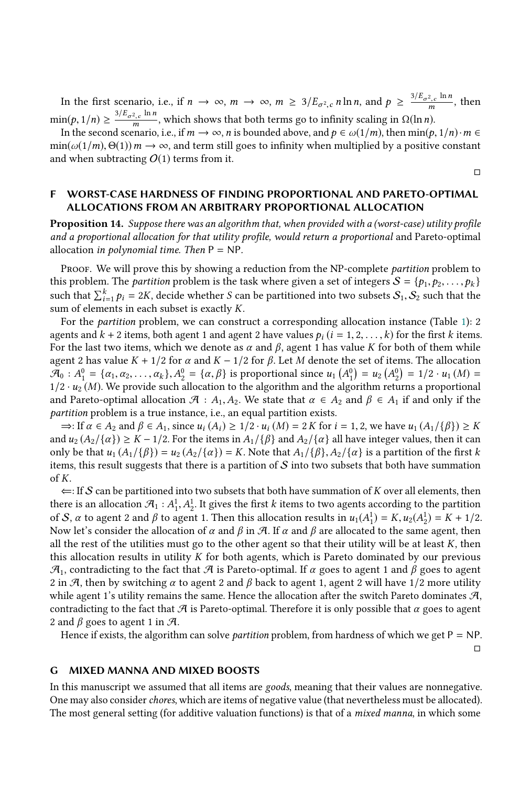In the first scenario, i.e., if  $n \to \infty$ ,  $m \to \infty$ ,  $m \geq 3/E_{\sigma^2,c} n \ln n$ , and  $p \geq \frac{3/E_{\sigma^2,c} \ln n}{m}$ , then  $min(p, 1/n) \ge \frac{3/E_{\sigma^2,c} \ln n}{m}$ , which shows that both terms go to infinity scaling in  $\Omega(\ln n)$ .<br>In the second scenario i.e. if  $m \to \infty$ , n is bounded above, and  $p \in \mathcal{O}(1/m)$ , then  $min(p)$ .

In the second scenario, i.e., if  $m \to \infty$ , *n* is bounded above, and  $p \in \omega(1/m)$ , then  $\min(p, 1/n) \cdot m \in \Omega(1/m)$   $\Theta(1)$ )  $m \to \infty$  and term still goes to infinity when multiplied by a positive constant  $\min(\omega(1/m), \Theta(1))$   $m \to \infty$ , and term still goes to infinity when multiplied by a positive constant and when subtracting  $O(1)$  terms from it.

□

□

#### <span id="page-27-1"></span>F WORST-CASE HARDNESS OF FINDING PROPORTIONAL AND PARETO-OPTIMAL ALLOCATIONS FROM AN ARBITRARY PROPORTIONAL ALLOCATION

Proposition 14. Suppose there was an algorithm that, when provided with a (worst-case) utility profile and a proportional allocation for that utility profile, would return a proportional and Pareto-optimal allocation in polynomial time. Then  $P = NP$ .

Proof. We will prove this by showing a reduction from the NP-complete *partition* problem to this problem. The *partition* problem is the task where given a set of integers  $S = \{p_1, p_2, \ldots, p_k\}$ such that  $\sum_{i=1}^{k} p_i = 2K$ , decide whether S can be partitioned into two subsets  $S_1, S_2$  such that the sum of elements in each subset is exactly K.

For the partition problem, we can construct a corresponding allocation instance (Table [1\)](#page-28-0): 2 agents and  $k + 2$  items, both agent 1 and agent 2 have values  $p_i$  ( $i = 1, 2, \ldots, k$ ) for the first k items. For the last two items, which we denote as  $\alpha$  and  $\beta$ , agent 1 has value K for both of them while agent 2 has value  $K + 1/2$  for  $\alpha$  and  $K - 1/2$  for  $\beta$ . Let M denote the set of items. The allocation  $\mathcal{A}_0$ :  $A_1^0 = {\alpha_1, \alpha_2, ..., \alpha_k}, A_2^0 = {\alpha, \beta}$  is proportional since  $u_1(A_1^0) = u_2(A_2^0) = 1/2 \cdot u_1(M) =$ <br>1/2,  $u_2(M)$ . We provide such allocation to the algorithm and the algorithm returns a proportional  $\frac{1}{2}$  ·  $u_2(M)$ . We provide such allocation to the algorithm and the algorithm returns a proportional<br>and Pareto-optimal allocation  $\mathcal{A}$  : A. A. We state that  $\alpha \in A_2$  and  $\beta \in A_1$  if and only if the and Pareto-optimal allocation  $\mathcal{A} : A_1, A_2$ . We state that  $\alpha \in A_2$  and  $\beta \in A_1$  if and only if the partition problem is a true instance, i.e., an equal partition exists.

 $\Rightarrow$ : If  $\alpha \in A_2$  and  $\beta \in A_1$ , since  $u_i(A_i) \geq 1/2 \cdot u_i(M) = 2K$  for  $i = 1, 2$ , we have  $u_1(A_1/\{\beta\}) \geq K$ and  $u_2(A_2/\{\alpha\}) \geq K - 1/2$ . For the items in  $A_1/\{\beta\}$  and  $A_2/\{\alpha\}$  all have integer values, then it can only be that  $u_1(A_1/\{\beta\}) = u_2(A_2/\{\alpha\}) = K$ . Note that  $A_1/\{\beta\}, A_2/\{\alpha\}$  is a partition of the first k items, this result suggests that there is a partition of  $S$  into two subsets that both have summation of K.

 $\Leftarrow$ : If S can be partitioned into two subsets that both have summation of K over all elements, then there is an allocation  $\mathcal{A}_1 : A_1^1, A_2^1$ . It gives the first k items to two agents according to the partition of  $S$  as to agent 2 and  $\beta$  to agent 1. Then this allocation results in  $\mu(A^1) = K \mu(A^1) = K + 1/2$ of S,  $\alpha$  to agent 2 and  $\beta$  to agent 1. Then this allocation results in  $u_1(A_1^1) = K$ ,  $u_2(A_2^1) = K + 1/2$ .<br>Now let's consider the allocation of  $\alpha$  and  $\beta$  in  $\beta$ . If  $\alpha$  and  $\beta$  are allocated to the same agent, t Now let's consider the allocation of  $\alpha$  and  $\beta$  in  $\beta$ . If  $\alpha$  and  $\beta$  are allocated to the same agent, then all the rest of the utilities must go to the other agent so that their utility will be at least  $K$ , then this allocation results in utility K for both agents, which is Pareto dominated by our previous  $\mathcal{A}_1$ , contradicting to the fact that  $\mathcal A$  is Pareto-optimal. If  $\alpha$  goes to agent 1 and  $\beta$  goes to agent 2 in A, then by switching  $\alpha$  to agent 2 and  $\beta$  back to agent 1, agent 2 will have 1/2 more utility while agent 1's utility remains the same. Hence the allocation after the switch Pareto dominates  $\mathcal{A}$ , contradicting to the fact that  $A$  is Pareto-optimal. Therefore it is only possible that  $\alpha$  goes to agent 2 and  $\beta$  goes to agent 1 in  $\mathcal{A}$ .

Hence if exists, the algorithm can solve *partition* problem, from hardness of which we get  $P = NP$ .

<span id="page-27-0"></span>G MIXED MANNA AND MIXED BOOSTS

In this manuscript we assumed that all items are goods, meaning that their values are nonnegative. One may also consider *chores*, which are items of negative value (that nevertheless must be allocated). The most general setting (for additive valuation functions) is that of a *mixed manna*, in which some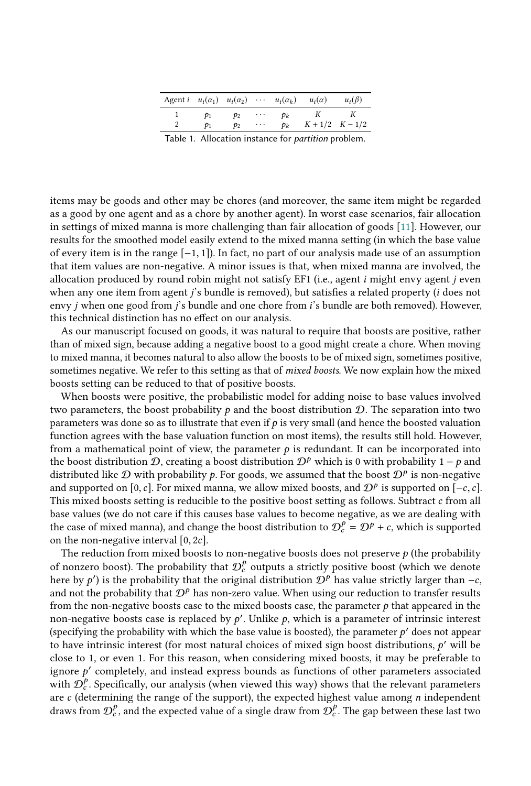| Agent $i \quad u_i(\alpha_1) \quad u_i(\alpha_2) \quad \cdots \quad u_i(\alpha_k) \quad u_i(\alpha)$ |                 |                 |          |       |                     | $u_i(\beta)$ |  |
|------------------------------------------------------------------------------------------------------|-----------------|-----------------|----------|-------|---------------------|--------------|--|
|                                                                                                      | $p_1$           | $p_{2}$         | $\cdots$ | $p_k$ | K                   |              |  |
|                                                                                                      | $\mathcal{D}_1$ | $\mathcal{D}_2$ | $\cdots$ | $p_k$ | $K + 1/2$ $K - 1/2$ |              |  |
| Table 1. Allocation instance for partition problem.                                                  |                 |                 |          |       |                     |              |  |

<span id="page-28-0"></span>items may be goods and other may be chores (and moreover, the same item might be regarded as a good by one agent and as a chore by another agent). In worst case scenarios, fair allocation in settings of mixed manna is more challenging than fair allocation of goods [\[11\]](#page-17-25). However, our results for the smoothed model easily extend to the mixed manna setting (in which the base value of every item is in the range [−1, <sup>1</sup>]). In fact, no part of our analysis made use of an assumption that item values are non-negative. A minor issues is that, when mixed manna are involved, the allocation produced by round robin might not satisfy EF1 (i.e., agent i might envy agent j even when any one item from agent *j*'s bundle is removed), but satisfies a related property (*i* does not envy *j* when one good from *j*'s bundle and one chore from *i*'s bundle are both removed). However, this technical distinction has no effect on our analysis.

As our manuscript focused on goods, it was natural to require that boosts are positive, rather than of mixed sign, because adding a negative boost to a good might create a chore. When moving to mixed manna, it becomes natural to also allow the boosts to be of mixed sign, sometimes positive, sometimes negative. We refer to this setting as that of mixed boosts. We now explain how the mixed boosts setting can be reduced to that of positive boosts.

When boosts were positive, the probabilistic model for adding noise to base values involved two parameters, the boost probability  $p$  and the boost distribution  $D$ . The separation into two parameters was done so as to illustrate that even if  $p$  is very small (and hence the boosted valuation function agrees with the base valuation function on most items), the results still hold. However, from a mathematical point of view, the parameter  $p$  is redundant. It can be incorporated into the boost distribution  $\mathcal{D}$ , creating a boost distribution  $\mathcal{D}^p$  which is 0 with probability 1 − p and distributed like  $\mathcal D$  with probability  $p$ . For goods, we assumed that the boost  $\mathcal D^p$  is non-negative and supported on  $[0, c]$ . For mixed manna, we allow mixed boosts, and  $\mathcal D^p$  is supported on  $[-c, c]$ and supported on [0, c]. For mixed manna, we allow mixed boosts, and  $\mathcal{D}^p$  is supported on  $[-c, c]$ .<br>This mixed boosts setting is reducible to the positive boost setting as follows. Subtract c from all This mixed boosts setting is reducible to the positive boost setting as follows. Subtract  $c$  from all base values (we do not care if this causes base values to become negative, as we are dealing with the case of mixed manna), and change the boost distribution to  $\mathcal{D}_c^p = \mathcal{D}^p + c$ , which is supported<br>on the non-negative interval [0, 2c] on the non-negative interval [0, <sup>2</sup>c].

The reduction from mixed boosts to non-negative boosts does not preserve  $p$  (the probability of nonzero boost). The probability that  $\mathcal{D}_{c}^{p}$  outputs a strictly positive boost (which we denote here by  $p'$ ) is the probability that the original distribution  $\mathcal{D}_{c}^{p}$  has value strictly larger than  $\mathcal{L}_{$ here by p') is the probability that the original distribution  $\mathcal{D}^p$  has value strictly larger than  $-c$ , and not the probability that  $\mathcal{D}^p$  has non-zero value. When using our reduction to transfer results and not the probability that  $\mathcal{D}^p$  has non-zero value. When using our reduction to transfer results from the non-negative boosts case to the mixed boosts case, the parameter  $p$  that appeared in the non-negative boosts case is replaced by  $p'$ . Unlike  $p$ , which is a parameter of intrinsic interest<br>(specifying the probability with which the base value is boosted) the parameter  $p'$  does not appear (specifying the probability with which the base value is boosted), the parameter  $p'$  does not appear to have intrinsic interest (for most natural choices of mixed sign boost distributions,  $p'$  will be to have intrinsic interest (for most natural choices of mixed sign boost distributions,  $p'$  will be close to 1 or even 1. For this reason, when considering mixed boosts it may be preferable to close to 1, or even 1. For this reason, when considering mixed boosts, it may be preferable to ignore  $p'$  completely, and instead express bounds as functions of other parameters associated<br>with  $\mathcal{D}^p$  Specifically our analysis (when yieved this way) shows that the relevant parameters with  $\mathcal{D}_{c}^{p}$ . Specifically, our analysis (when viewed this way) shows that the relevant parameters are c (determining the range of the support), the expected highest value among *n* independent<br>draws from  $\Omega^p$  and the expected value of a single draw from  $\Omega^p$ . The gap between these last two draws from  $\mathcal{D}_c^p$ , and the expected value of a single draw from  $\mathcal{D}_c^p$ . The gap between these last two